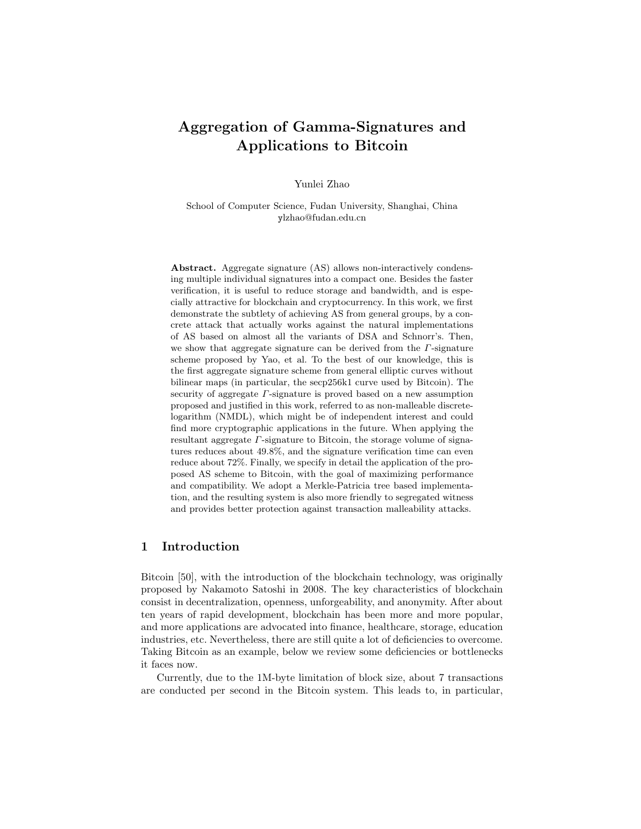# Aggregation of Gamma-Signatures and Applications to Bitcoin

Yunlei Zhao

School of Computer Science, Fudan University, Shanghai, China ylzhao@fudan.edu.cn

Abstract. Aggregate signature (AS) allows non-interactively condensing multiple individual signatures into a compact one. Besides the faster verification, it is useful to reduce storage and bandwidth, and is especially attractive for blockchain and cryptocurrency. In this work, we first demonstrate the subtlety of achieving AS from general groups, by a concrete attack that actually works against the natural implementations of AS based on almost all the variants of DSA and Schnorr's. Then, we show that aggregate signature can be derived from the  $\Gamma$ -signature scheme proposed by Yao, et al. To the best of our knowledge, this is the first aggregate signature scheme from general elliptic curves without bilinear maps (in particular, the secp256k1 curve used by Bitcoin). The security of aggregate Γ-signature is proved based on a new assumption proposed and justified in this work, referred to as non-malleable discretelogarithm (NMDL), which might be of independent interest and could find more cryptographic applications in the future. When applying the resultant aggregate Γ-signature to Bitcoin, the storage volume of signatures reduces about 49.8%, and the signature verification time can even reduce about 72%. Finally, we specify in detail the application of the proposed AS scheme to Bitcoin, with the goal of maximizing performance and compatibility. We adopt a Merkle-Patricia tree based implementation, and the resulting system is also more friendly to segregated witness and provides better protection against transaction malleability attacks.

# 1 Introduction

Bitcoin [50], with the introduction of the blockchain technology, was originally proposed by Nakamoto Satoshi in 2008. The key characteristics of blockchain consist in decentralization, openness, unforgeability, and anonymity. After about ten years of rapid development, blockchain has been more and more popular, and more applications are advocated into finance, healthcare, storage, education industries, etc. Nevertheless, there are still quite a lot of deficiencies to overcome. Taking Bitcoin as an example, below we review some deficiencies or bottlenecks it faces now.

Currently, due to the 1M-byte limitation of block size, about 7 transactions are conducted per second in the Bitcoin system. This leads to, in particular,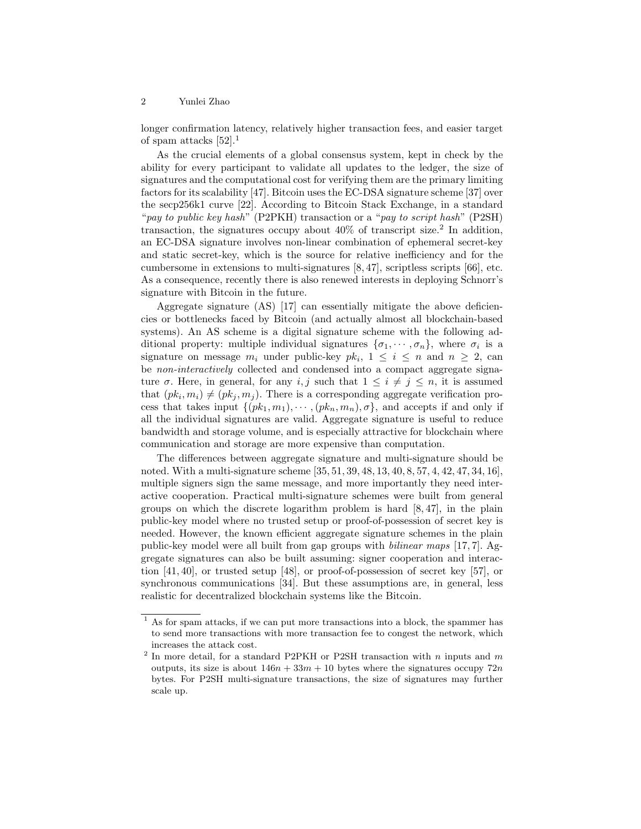longer confirmation latency, relatively higher transaction fees, and easier target of spam attacks [52].<sup>1</sup>

As the crucial elements of a global consensus system, kept in check by the ability for every participant to validate all updates to the ledger, the size of signatures and the computational cost for verifying them are the primary limiting factors for its scalability [47]. Bitcoin uses the EC-DSA signature scheme [37] over the secp256k1 curve [22]. According to Bitcoin Stack Exchange, in a standard "pay to public key hash" (P2PKH) transaction or a "pay to script hash" (P2SH) transaction, the signatures occupy about  $40\%$  of transcript size.<sup>2</sup> In addition, an EC-DSA signature involves non-linear combination of ephemeral secret-key and static secret-key, which is the source for relative inefficiency and for the cumbersome in extensions to multi-signatures  $[8, 47]$ , scriptless scripts  $[66]$ , etc. As a consequence, recently there is also renewed interests in deploying Schnorr's signature with Bitcoin in the future.

Aggregate signature (AS) [17] can essentially mitigate the above deficiencies or bottlenecks faced by Bitcoin (and actually almost all blockchain-based systems). An AS scheme is a digital signature scheme with the following additional property: multiple individual signatures  $\{\sigma_1, \cdots, \sigma_n\}$ , where  $\sigma_i$  is a signature on message  $m_i$  under public-key  $pk_i$ ,  $1 \leq i \leq n$  and  $n \geq 2$ , can be non-interactively collected and condensed into a compact aggregate signature  $\sigma$ . Here, in general, for any  $i, j$  such that  $1 \leq i \neq j \leq n$ , it is assumed that  $(pk_i, m_i) \neq (pk_j, m_j)$ . There is a corresponding aggregate verification process that takes input  $\{(pk_1, m_1), \cdots, (pk_n, m_n), \sigma\}$ , and accepts if and only if all the individual signatures are valid. Aggregate signature is useful to reduce bandwidth and storage volume, and is especially attractive for blockchain where communication and storage are more expensive than computation.

The differences between aggregate signature and multi-signature should be noted. With a multi-signature scheme [35, 51, 39, 48, 13, 40, 8, 57, 4, 42, 47, 34, 16], multiple signers sign the same message, and more importantly they need interactive cooperation. Practical multi-signature schemes were built from general groups on which the discrete logarithm problem is hard [8, 47], in the plain public-key model where no trusted setup or proof-of-possession of secret key is needed. However, the known efficient aggregate signature schemes in the plain public-key model were all built from gap groups with bilinear maps [17, 7]. Aggregate signatures can also be built assuming: signer cooperation and interaction [41, 40], or trusted setup [48], or proof-of-possession of secret key [57], or synchronous communications [34]. But these assumptions are, in general, less realistic for decentralized blockchain systems like the Bitcoin.

<sup>&</sup>lt;sup>1</sup> As for spam attacks, if we can put more transactions into a block, the spammer has to send more transactions with more transaction fee to congest the network, which increases the attack cost.

<sup>&</sup>lt;sup>2</sup> In more detail, for a standard P2PKH or P2SH transaction with n inputs and m outputs, its size is about  $146n + 33m + 10$  bytes where the signatures occupy  $72n$ bytes. For P2SH multi-signature transactions, the size of signatures may further scale up.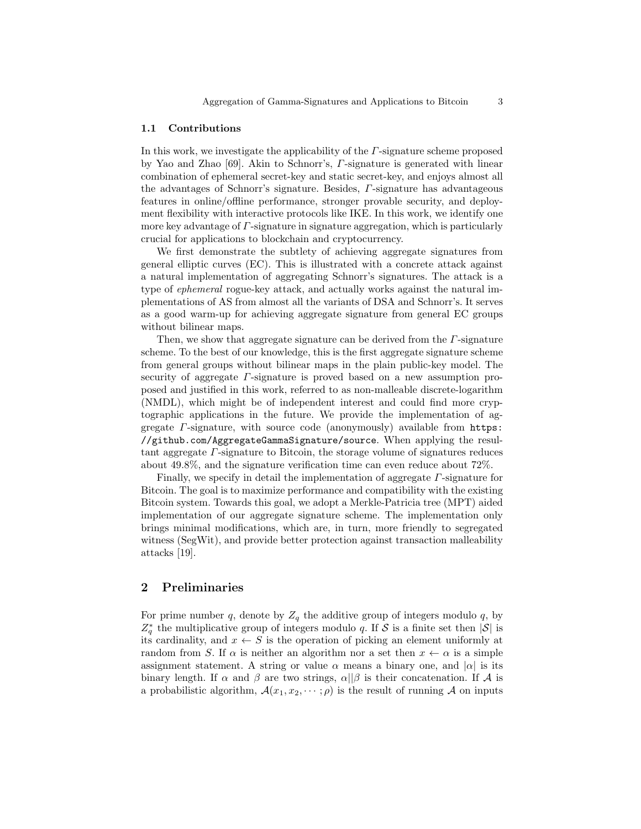#### 1.1 Contributions

In this work, we investigate the applicability of the  $\Gamma$ -signature scheme proposed by Yao and Zhao [69]. Akin to Schnorr's, Γ-signature is generated with linear combination of ephemeral secret-key and static secret-key, and enjoys almost all the advantages of Schnorr's signature. Besides, Γ-signature has advantageous features in online/offline performance, stronger provable security, and deployment flexibility with interactive protocols like IKE. In this work, we identify one more key advantage of Γ-signature in signature aggregation, which is particularly crucial for applications to blockchain and cryptocurrency.

We first demonstrate the subtlety of achieving aggregate signatures from general elliptic curves (EC). This is illustrated with a concrete attack against a natural implementation of aggregating Schnorr's signatures. The attack is a type of ephemeral rogue-key attack, and actually works against the natural implementations of AS from almost all the variants of DSA and Schnorr's. It serves as a good warm-up for achieving aggregate signature from general EC groups without bilinear maps.

Then, we show that aggregate signature can be derived from the  $\Gamma$ -signature scheme. To the best of our knowledge, this is the first aggregate signature scheme from general groups without bilinear maps in the plain public-key model. The security of aggregate  $\Gamma$ -signature is proved based on a new assumption proposed and justified in this work, referred to as non-malleable discrete-logarithm (NMDL), which might be of independent interest and could find more cryptographic applications in the future. We provide the implementation of aggregate  $\Gamma$ -signature, with source code (anonymously) available from https: //github.com/AggregateGammaSignature/source. When applying the resultant aggregate Γ-signature to Bitcoin, the storage volume of signatures reduces about 49.8%, and the signature verification time can even reduce about 72%.

Finally, we specify in detail the implementation of aggregate Γ-signature for Bitcoin. The goal is to maximize performance and compatibility with the existing Bitcoin system. Towards this goal, we adopt a Merkle-Patricia tree (MPT) aided implementation of our aggregate signature scheme. The implementation only brings minimal modifications, which are, in turn, more friendly to segregated witness (SegWit), and provide better protection against transaction malleability attacks [19].

## 2 Preliminaries

For prime number q, denote by  $Z_q$  the additive group of integers modulo q, by  $Z_q^*$  the multiplicative group of integers modulo q. If S is a finite set then  $|S|$  is its cardinality, and  $x \leftarrow S$  is the operation of picking an element uniformly at random from S. If  $\alpha$  is neither an algorithm nor a set then  $x \leftarrow \alpha$  is a simple assignment statement. A string or value  $\alpha$  means a binary one, and  $|\alpha|$  is its binary length. If  $\alpha$  and  $\beta$  are two strings,  $\alpha||\beta$  is their concatenation. If A is a probabilistic algorithm,  $\mathcal{A}(x_1, x_2, \dots; \rho)$  is the result of running A on inputs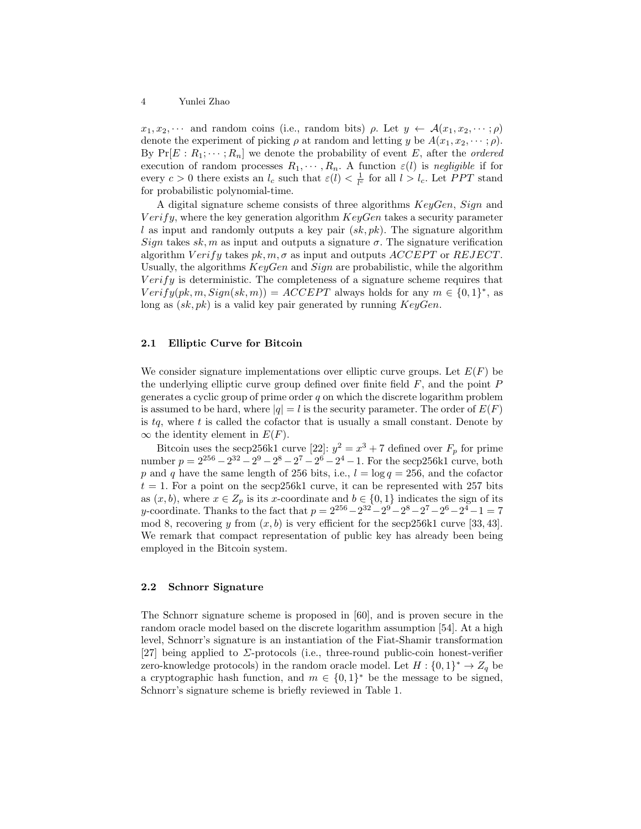$x_1, x_2, \cdots$  and random coins (i.e., random bits)  $\rho$ . Let  $y \leftarrow \mathcal{A}(x_1, x_2, \cdots; \rho)$ denote the experiment of picking  $\rho$  at random and letting y be  $A(x_1, x_2, \dots; \rho)$ . By  $Pr[E: R_1; \dots; R_n]$  we denote the probability of event E, after the *ordered* execution of random processes  $R_1, \dots, R_n$ . A function  $\varepsilon(l)$  is negligible if for every  $c > 0$  there exists an  $l_c$  such that  $\varepsilon(l) < \frac{1}{l_c}$  for all  $l > l_c$ . Let PPT stand for probabilistic polynomial-time.

A digital signature scheme consists of three algorithms KeyGen, Sign and  $Verify,$  where the key generation algorithm  $KeyGen$  takes a security parameter l as input and randomly outputs a key pair  $(sk, pk)$ . The signature algorithm Sign takes sk, m as input and outputs a signature  $\sigma$ . The signature verification algorithm  $Verify$  takes  $pk, m, \sigma$  as input and outputs  $ACCEPT$  or  $REJECT.$ Usually, the algorithms  $KeyGen$  and  $Sign$  are probabilistic, while the algorithm  $Verify$  is deterministic. The completeness of a signature scheme requires that  $Verify(pk, m, Sign(sk, m)) = ACCEPT$  always holds for any  $m \in \{0, 1\}^*$ , as long as  $(sk, pk)$  is a valid key pair generated by running  $KeyGen$ .

### 2.1 Elliptic Curve for Bitcoin

We consider signature implementations over elliptic curve groups. Let  $E(F)$  be the underlying elliptic curve group defined over finite field  $F$ , and the point  $P$ generates a cyclic group of prime order  $q$  on which the discrete logarithm problem is assumed to be hard, where  $|q| = l$  is the security parameter. The order of  $E(F)$ is  $tq$ , where t is called the cofactor that is usually a small constant. Denote by  $\infty$  the identity element in  $E(F)$ .

Bitcoin uses the secp 256k1 curve [22]:  $y^2 = x^3 + 7$  defined over  $F_p$  for prime number  $p = 2^{256} - 2^{32} - 2^9 - 2^8 - 2^7 - 2^6 - 2^4 - 1$ . For the secp 256k1 curve, both p and q have the same length of 256 bits, i.e.,  $l = \log q = 256$ , and the cofactor  $t = 1$ . For a point on the secp256k1 curve, it can be represented with 257 bits as  $(x, b)$ , where  $x \in Z_p$  is its x-coordinate and  $b \in \{0, 1\}$  indicates the sign of its y-coordinate. Thanks to the fact that  $p = 2^{256} - 2^{32} - 2^9 - 2^8 - 2^7 - 2^6 - 2^4 - 1 = 7$ mod 8, recovering y from  $(x, b)$  is very efficient for the secp256k1 curve [33, 43]. We remark that compact representation of public key has already been being employed in the Bitcoin system.

#### 2.2 Schnorr Signature

The Schnorr signature scheme is proposed in [60], and is proven secure in the random oracle model based on the discrete logarithm assumption [54]. At a high level, Schnorr's signature is an instantiation of the Fiat-Shamir transformation [27] being applied to  $\Sigma$ -protocols (i.e., three-round public-coin honest-verifier zero-knowledge protocols) in the random oracle model. Let  $H: \{0,1\}^* \to Z_q$  be a cryptographic hash function, and  $m \in \{0,1\}^*$  be the message to be signed, Schnorr's signature scheme is briefly reviewed in Table 1.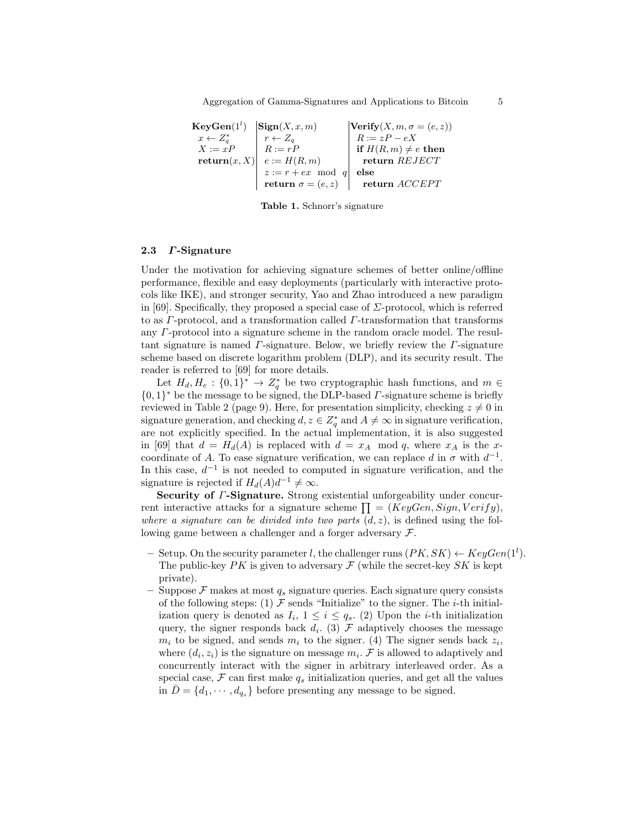Aggregation of Gamma-Signatures and Applications to Bitcoin 5

 ${\bf KeyGen}(1^l)$  $|\textbf{Sign}(X, x, m)|$   $|\textbf{Verify}(X, m, \sigma = (e, z))|$  $x \leftarrow Z_q^*$  $r \leftarrow Z_q$ <br>  $R := rP$ <br>  $R := zP - eX$ <br>
if  $H(R, m) \neq 0$ if  $H(R, m) \neq e$  then  $\mathbf{return}(x, X) \mid e := H(R, m)$  return REJECT  $z := r + e x \mod q$  else return  $\sigma = (e, z)$  return ACCEPT

Table 1. Schnorr's signature

#### 2.3 Γ-Signature

Under the motivation for achieving signature schemes of better online/offline performance, flexible and easy deployments (particularly with interactive protocols like IKE), and stronger security, Yao and Zhao introduced a new paradigm in [69]. Specifically, they proposed a special case of  $\Sigma$ -protocol, which is referred to as Γ-protocol, and a transformation called Γ-transformation that transforms any Γ-protocol into a signature scheme in the random oracle model. The resultant signature is named  $\Gamma$ -signature. Below, we briefly review the  $\Gamma$ -signature scheme based on discrete logarithm problem (DLP), and its security result. The reader is referred to [69] for more details.

Let  $H_d, H_e: \{0,1\}^* \to Z_q^*$  be two cryptographic hash functions, and  $m \in$  $\{0,1\}^*$  be the message to be signed, the DLP-based  $\Gamma$ -signature scheme is briefly reviewed in Table 2 (page 9). Here, for presentation simplicity, checking  $z \neq 0$  in signature generation, and checking  $d, z \in \mathbb{Z}_q^*$  and  $A \neq \infty$  in signature verification, are not explicitly specified. In the actual implementation, it is also suggested in [69] that  $d = H_d(A)$  is replaced with  $d = x_A \mod q$ , where  $x_A$  is the xcoordinate of A. To ease signature verification, we can replace d in  $\sigma$  with  $d^{-1}$ . In this case,  $d^{-1}$  is not needed to computed in signature verification, and the signature is rejected if  $H_d(A)d^{-1} \neq \infty$ .

Security of  $\Gamma$ -Signature. Strong existential unforgeability under concurrent interactive attacks for a signature scheme  $\prod = (KeyGen, Sign, Verify),$ where a signature can be divided into two parts  $(d, z)$ , is defined using the following game between a challenger and a forger adversary F.

- Setup. On the security parameter l, the challenger runs  $(PK, SK) \leftarrow KeyGen(1^l)$ . The public-key  $PK$  is given to adversary  $\mathcal F$  (while the secret-key  $SK$  is kept private).
- Suppose  $\mathcal F$  makes at most  $q_s$  signature queries. Each signature query consists of the following steps: (1)  $\mathcal F$  sends "Initialize" to the signer. The *i*-th initialization query is denoted as  $I_i$ ,  $1 \leq i \leq q_s$ . (2) Upon the *i*-th initialization query, the signer responds back  $d_i$ . (3)  $\mathcal F$  adaptively chooses the message  $m_i$  to be signed, and sends  $m_i$  to the signer. (4) The signer sends back  $z_i$ , where  $(d_i, z_i)$  is the signature on message  $m_i$ . F is allowed to adaptively and concurrently interact with the signer in arbitrary interleaved order. As a special case,  $\mathcal F$  can first make  $q_s$  initialization queries, and get all the values in  $\overline{D} = \{d_1, \dots, d_{q_s}\}\$ before presenting any message to be signed.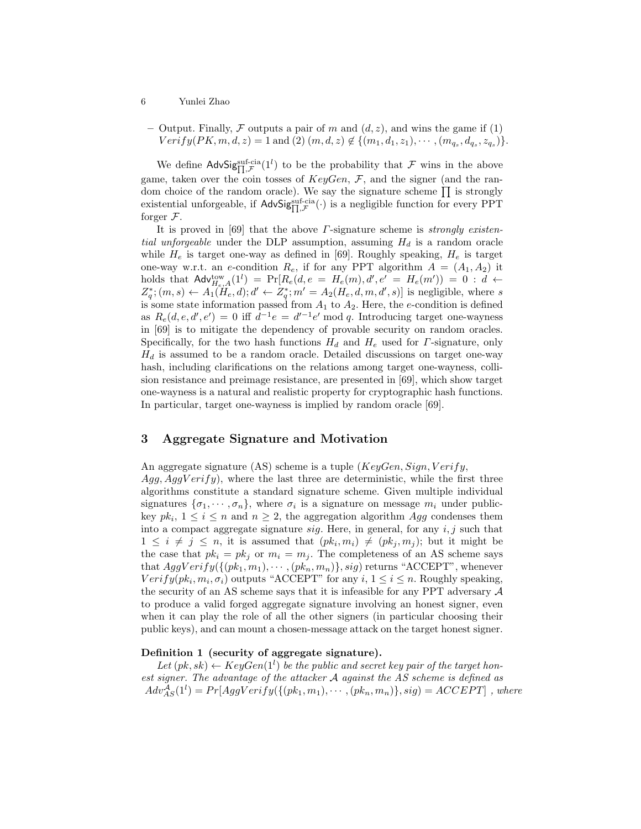– Output. Finally, F outputs a pair of m and  $(d, z)$ , and wins the game if (1)  $Verify(PK, m, d, z) = 1$  and  $(2)$   $(m, d, z) \notin \{(m_1, d_1, z_1), \cdots, (m_{q_s}, d_{q_s}, z_{q_s})\}.$ 

We define AdvSigsuf-cia(1<sup>l</sup>) to be the probability that F wins in the above game, taken over the coin tosses of  $KeyGen, \mathcal{F}$ , and the signer (and the random choice of the random oracle). We say the signature scheme  $\prod$  is strongly existential unforgeable, if  $\text{AdvSig}_{\Pi,\mathcal{F}}^{\text{suf-cia}}(\cdot)$  is a negligible function for every PPT forger  $\mathcal{F}$ .

It is proved in [69] that the above  $\Gamma$ -signature scheme is *strongly existential unforgeable* under the DLP assumption, assuming  $H_d$  is a random oracle while  $H_e$  is target one-way as defined in [69]. Roughly speaking,  $H_e$  is target one-way w.r.t. an e-condition  $R_e$ , if for any PPT algorithm  $A = (A_1, A_2)$  it holds that  $\mathsf{Adv}_{H_e,A}^{\mathrm{tow}}(1^l) = \Pr[R_e(d,e = H_e(m), d', e'] = H_e(m')) = 0 : d \leftarrow$  $Z_q^*$ ;  $(m, s) \leftarrow A_1(H_e, d)$ ;  $d' \leftarrow Z_q^*$ ;  $m' = A_2(H_e, d, m, d', s)$ ] is negligible, where s is some state information passed from  $A_1$  to  $A_2$ . Here, the e-condition is defined as  $R_e(d, e, d', e') = 0$  iff  $d^{-1}e = d'^{-1}e' \mod q$ . Introducing target one-wayness in [69] is to mitigate the dependency of provable security on random oracles. Specifically, for the two hash functions  $H_d$  and  $H_e$  used for  $\Gamma$ -signature, only  $H_d$  is assumed to be a random oracle. Detailed discussions on target one-way hash, including clarifications on the relations among target one-wayness, collision resistance and preimage resistance, are presented in [69], which show target one-wayness is a natural and realistic property for cryptographic hash functions. In particular, target one-wayness is implied by random oracle [69].

# 3 Aggregate Signature and Motivation

An aggregate signature (AS) scheme is a tuple ( $KeyGen, Sign, Verify,$  $Agg, AggVerify$ , where the last three are deterministic, while the first three algorithms constitute a standard signature scheme. Given multiple individual signatures  $\{\sigma_1, \cdots, \sigma_n\}$ , where  $\sigma_i$  is a signature on message  $m_i$  under publickey  $pk_i$ ,  $1 \leq i \leq n$  and  $n \geq 2$ , the aggregation algorithm Agg condenses them into a compact aggregate signature  $sig$ . Here, in general, for any  $i, j$  such that  $1 \leq i \neq j \leq n$ , it is assumed that  $(pk_i, m_i) \neq (pk_j, m_j)$ ; but it might be the case that  $pk_i = pk_j$  or  $m_i = m_j$ . The completeness of an AS scheme says that  $AggVerify(\{(pk_1, m_1), \cdots, (pk_n, m_n)\}, sig)$  returns "ACCEPT", whenever  $Verify(pk_i, m_i, \sigma_i)$  outputs "ACCEPT" for any  $i, 1 \leq i \leq n$ . Roughly speaking, the security of an AS scheme says that it is infeasible for any PPT adversary  $A$ to produce a valid forged aggregate signature involving an honest signer, even when it can play the role of all the other signers (in particular choosing their public keys), and can mount a chosen-message attack on the target honest signer.

### Definition 1 (security of aggregate signature).

Let  $(pk, sk) \leftarrow KeyGen(1^l)$  be the public and secret key pair of the target honest signer. The advantage of the attacker A against the AS scheme is defined as  $Adv^{\mathcal{A}}_{AS}(1^l) = Pr[AggVerify(\{(pk_1, m_1), \cdots, (pk_n, m_n)\}, sig) = ACCEPT]$ , where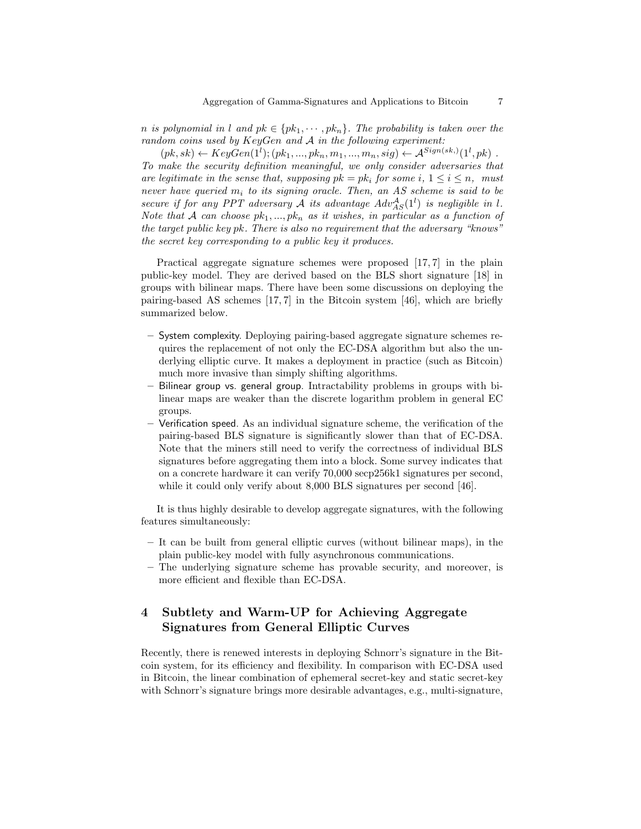n is polynomial in l and  $pk \in \{pk_1, \dots, pk_n\}$ . The probability is taken over the random coins used by KeyGen and A in the following experiment:

 $(pk, sk) \leftarrow KeyGen(1^l); (pk_1, ..., pk_n, m_1, ..., m_n, sig) \leftarrow A^{Sign(sk,)}(1^l, pk)$ . To make the security definition meaningful, we only consider adversaries that are legitimate in the sense that, supposing  $pk = pk_i$  for some  $i, 1 \le i \le n$ , must never have queried  $m_i$  to its signing oracle. Then, an AS scheme is said to be secure if for any PPT adversary A its advantage  $Adv^{\mathcal{A}}_{AS}(1^l)$  is negligible in l. Note that A can choose  $pk_1, ..., pk_n$  as it wishes, in particular as a function of the target public key pk. There is also no requirement that the adversary "knows" the secret key corresponding to a public key it produces.

Practical aggregate signature schemes were proposed [17, 7] in the plain public-key model. They are derived based on the BLS short signature [18] in groups with bilinear maps. There have been some discussions on deploying the pairing-based AS schemes [17, 7] in the Bitcoin system [46], which are briefly summarized below.

- System complexity. Deploying pairing-based aggregate signature schemes requires the replacement of not only the EC-DSA algorithm but also the underlying elliptic curve. It makes a deployment in practice (such as Bitcoin) much more invasive than simply shifting algorithms.
- Bilinear group vs. general group. Intractability problems in groups with bilinear maps are weaker than the discrete logarithm problem in general EC groups.
- Verification speed. As an individual signature scheme, the verification of the pairing-based BLS signature is significantly slower than that of EC-DSA. Note that the miners still need to verify the correctness of individual BLS signatures before aggregating them into a block. Some survey indicates that on a concrete hardware it can verify 70,000 secp256k1 signatures per second, while it could only verify about 8,000 BLS signatures per second [46].

It is thus highly desirable to develop aggregate signatures, with the following features simultaneously:

- It can be built from general elliptic curves (without bilinear maps), in the plain public-key model with fully asynchronous communications.
- The underlying signature scheme has provable security, and moreover, is more efficient and flexible than EC-DSA.

# 4 Subtlety and Warm-UP for Achieving Aggregate Signatures from General Elliptic Curves

Recently, there is renewed interests in deploying Schnorr's signature in the Bitcoin system, for its efficiency and flexibility. In comparison with EC-DSA used in Bitcoin, the linear combination of ephemeral secret-key and static secret-key with Schnorr's signature brings more desirable advantages, e.g., multi-signature,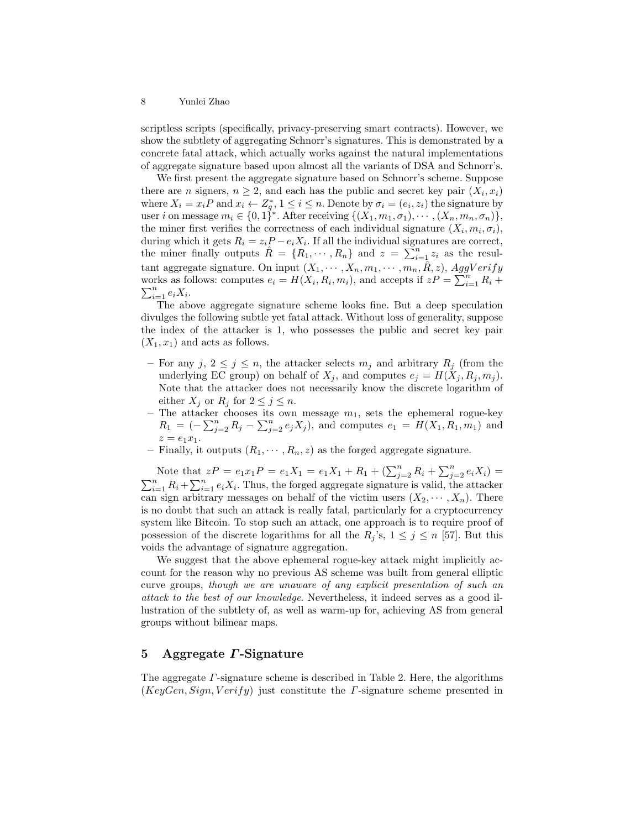scriptless scripts (specifically, privacy-preserving smart contracts). However, we show the subtlety of aggregating Schnorr's signatures. This is demonstrated by a concrete fatal attack, which actually works against the natural implementations of aggregate signature based upon almost all the variants of DSA and Schnorr's.

We first present the aggregate signature based on Schnorr's scheme. Suppose there are *n* signers,  $n \geq 2$ , and each has the public and secret key pair  $(X_i, x_i)$ where  $X_i = x_i P$  and  $x_i \leftarrow Z_q^*$ ,  $1 \leq i \leq n$ . Denote by  $\sigma_i = (e_i, z_i)$  the signature by user i on message  $m_i \in \{0,1\}^*$ . After receiving  $\{(X_1,m_1,\sigma_1),\cdots,(X_n,m_n,\sigma_n)\},$ the miner first verifies the correctness of each individual signature  $(X_i, m_i, \sigma_i)$ , during which it gets  $R_i = z_i P - e_i X_i$ . If all the individual signatures are correct, the miner finally outputs  $\hat{R} = \{R_1, \dots, R_n\}$  and  $z = \sum_{i=1}^n z_i$  as the resultant aggregate signature. On input  $(X_1, \dots, X_n, m_1, \dots, m_n, \hat{R}, z)$ , AggVerify works as follows: computes  $e_i = H(X_i, R_i, m_i)$ , and accepts if  $zP = \sum_{i=1}^{n} R_i +$  $\sum_{i=1}^n e_i X_i$ .

The above aggregate signature scheme looks fine. But a deep speculation divulges the following subtle yet fatal attack. Without loss of generality, suppose the index of the attacker is 1, who possesses the public and secret key pair  $(X_1, x_1)$  and acts as follows.

- For any j,  $2 \leq j \leq n$ , the attacker selects  $m_j$  and arbitrary  $R_j$  (from the underlying EC group) on behalf of  $X_j$ , and computes  $e_j = H(X_j, R_j, m_j)$ . Note that the attacker does not necessarily know the discrete logarithm of either  $X_j$  or  $R_j$  for  $2 \leq j \leq n$ .
- The attacker chooses its own message  $m_1$ , sets the ephemeral rogue-key  $R_1 = \left(-\sum_{j=2}^n R_j - \sum_{j=2}^n e_j X_j\right)$ , and computes  $e_1 = H(X_1, R_1, m_1)$  and  $z = e_1 x_1.$
- Finally, it outputs  $(R_1, \dots, R_n, z)$  as the forged aggregate signature.

Note that  $zP = e_1x_1P = e_1X_1 = e_1X_1 + R_1 + (\sum_{j=2}^n R_j + \sum_{j=2}^n e_iX_j) =$  $\sum_{i=1}^{n} R_i + \sum_{i=1}^{n} e_i X_i$ . Thus, the forged aggregate signature is valid, the attacker can sign arbitrary messages on behalf of the victim users  $(X_2, \dots, X_n)$ . There is no doubt that such an attack is really fatal, particularly for a cryptocurrency system like Bitcoin. To stop such an attack, one approach is to require proof of possession of the discrete logarithms for all the  $R_j$ 's,  $1 \leq j \leq n$  [57]. But this voids the advantage of signature aggregation.

We suggest that the above ephemeral rogue-key attack might implicitly account for the reason why no previous AS scheme was built from general elliptic curve groups, though we are unaware of any explicit presentation of such an attack to the best of our knowledge. Nevertheless, it indeed serves as a good illustration of the subtlety of, as well as warm-up for, achieving AS from general groups without bilinear maps.

# 5 Aggregate Γ-Signature

The aggregate Γ-signature scheme is described in Table 2. Here, the algorithms  $(KeyGen, Sign, Verify)$  just constitute the *Γ*-signature scheme presented in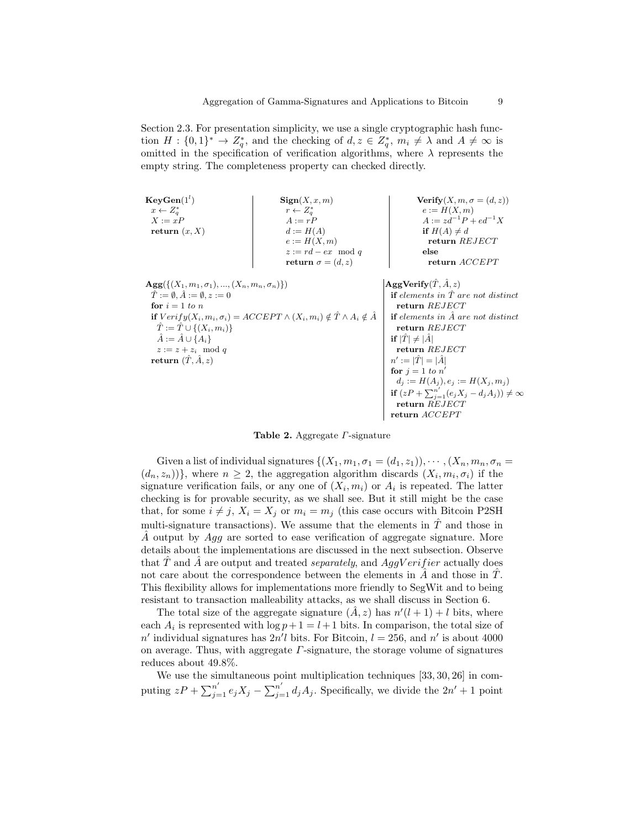Section 2.3. For presentation simplicity, we use a single cryptographic hash function  $H: \{0,1\}^* \to Z_q^*$ , and the checking of  $d, z \in Z_q^*$ ,  $m_i \neq \lambda$  and  $A \neq \infty$  is omitted in the specification of verification algorithms, where  $\lambda$  represents the empty string. The completeness property can checked directly.

| $KeyGen(1^l)$                                                | $\operatorname{Sign}(X, x, m)$                                                                      | Verify $(X, m, \sigma = (d, z))$                            |
|--------------------------------------------------------------|-----------------------------------------------------------------------------------------------------|-------------------------------------------------------------|
| $x \leftarrow Z_a^*$                                         | $r \leftarrow Z_a^*$                                                                                | $e := H(X, m)$                                              |
| $X := xP$                                                    | $A := rP$                                                                                           | $A := zd^{-1}P + ed^{-1}X$                                  |
| return $(x, X)$                                              | $d := H(A)$                                                                                         | if $H(A) \neq d$                                            |
|                                                              | $e := H(X, m)$                                                                                      | return REJECT                                               |
|                                                              | $z := rd - ex \mod q$                                                                               | else                                                        |
|                                                              | return $\sigma = (d, z)$                                                                            | return <i>ACCEPT</i>                                        |
| $\mathbf{Agg}(\{(X_1,m_1,\sigma_1),,(X_n,m_n,\sigma_n)\})$   |                                                                                                     | $\mathbf{AggVerify}(\tilde{T}, \tilde{A}, z)$               |
| $\ddot{T} := \emptyset$ , $\ddot{A} := \emptyset$ , $z := 0$ |                                                                                                     | <b>if</b> elements in $\hat{T}$ are not distinct            |
| for $i = 1$ to n                                             |                                                                                                     | return REJECT                                               |
|                                                              | if $Verify(X_i, m_i, \sigma_i) = ACCEPT \wedge (X_i, m_i) \notin \hat{T} \wedge A_i \notin \hat{A}$ | <b>if</b> elements in $\hat{A}$ are not distinct            |
| $T := T \cup \{(X_i, m_i)\}\$                                |                                                                                                     | return REJECT                                               |
| $\hat{A} := \hat{A} \cup \{A_i\}$                            |                                                                                                     | if $ \hat{T}  \neq  \hat{A} $                               |
| $z := z + z_i \mod q$                                        |                                                                                                     | return REJECT                                               |
| return $(\hat{T}, \hat{A}, z)$                               |                                                                                                     | $n' :=  \tilde{T}  =  \tilde{A} $                           |
|                                                              |                                                                                                     | for $i = 1$ to $n'$                                         |
|                                                              |                                                                                                     | $d_i := H(A_i), e_i := H(X_i, m_i)$                         |
|                                                              |                                                                                                     | if $(zP + \sum_{j=1}^{n'} (e_j X_j - d_j A_j)) \neq \infty$ |
|                                                              |                                                                                                     | return REJECT                                               |
|                                                              |                                                                                                     | return ACCEPT                                               |

Table 2. Aggregate Γ-signature

Given a list of individual signatures  $\{(X_1, m_1, \sigma_1 = (d_1, z_1)), \cdots, (X_n, m_n, \sigma_n =$  $(d_n, z_n)$ }, where  $n \geq 2$ , the aggregation algorithm discards  $(X_i, m_i, \sigma_i)$  if the signature verification fails, or any one of  $(X_i, m_i)$  or  $A_i$  is repeated. The latter checking is for provable security, as we shall see. But it still might be the case that, for some  $i \neq j$ ,  $X_i = X_j$  or  $m_i = m_j$  (this case occurs with Bitcoin P2SH multi-signature transactions). We assume that the elements in  $\hat{T}$  and those in  $\ddot{A}$  output by  $Aqq$  are sorted to ease verification of aggregate signature. More details about the implementations are discussed in the next subsection. Observe that  $\overline{T}$  and  $\overline{A}$  are output and treated separately, and  $AggVerifier$  actually does not care about the correspondence between the elements in  $\ddot{A}$  and those in  $\ddot{T}$ . This flexibility allows for implementations more friendly to SegWit and to being resistant to transaction malleability attacks, as we shall discuss in Section 6.

The total size of the aggregate signature  $(\hat{A}, z)$  has  $n'(l + 1) + l$  bits, where each  $A_i$  is represented with  $\log p + 1 = l + 1$  bits. In comparison, the total size of n' individual signatures has  $2n'l$  bits. For Bitcoin,  $l = 256$ , and n' is about 4000 on average. Thus, with aggregate  $\Gamma$ -signature, the storage volume of signatures reduces about 49.8%.

We use the simultaneous point multiplication techniques [33, 30, 26] in computing  $zP + \sum_{j=1}^{n'} e_j X_j - \sum_{j=1}^{n'} d_j A_j$ . Specifically, we divide the  $2n' + 1$  point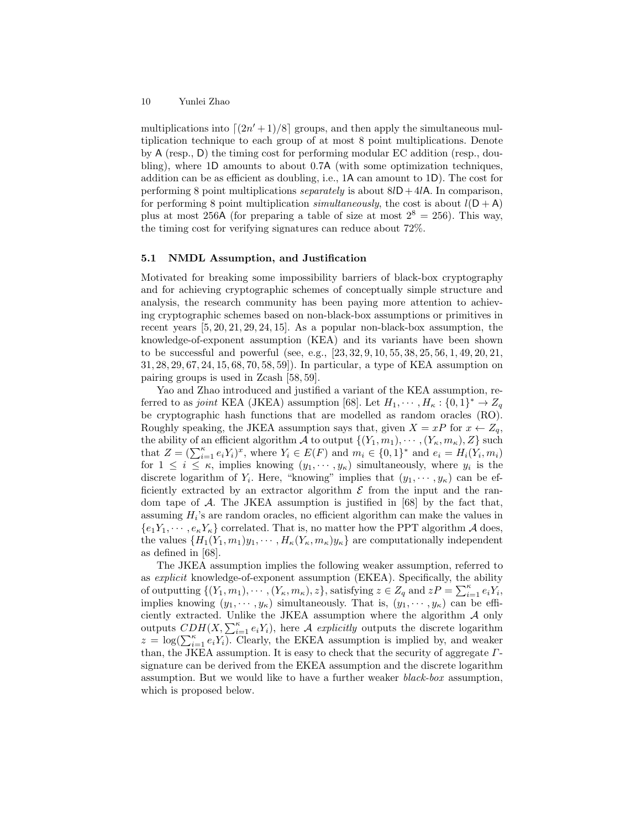multiplications into  $\lfloor (2n'+1)/8 \rfloor$  groups, and then apply the simultaneous multiplication technique to each group of at most 8 point multiplications. Denote by A (resp., D) the timing cost for performing modular EC addition (resp., doubling), where 1D amounts to about 0.7A (with some optimization techniques, addition can be as efficient as doubling, i.e., 1A can amount to 1D). The cost for performing 8 point multiplications *separately* is about  $8lD+4lA$ . In comparison, for performing 8 point multiplication *simultaneously*, the cost is about  $l(D + A)$ plus at most 256A (for preparing a table of size at most  $2^8 = 256$ ). This way, the timing cost for verifying signatures can reduce about 72%.

### 5.1 NMDL Assumption, and Justification

Motivated for breaking some impossibility barriers of black-box cryptography and for achieving cryptographic schemes of conceptually simple structure and analysis, the research community has been paying more attention to achieving cryptographic schemes based on non-black-box assumptions or primitives in recent years [5, 20, 21, 29, 24, 15]. As a popular non-black-box assumption, the knowledge-of-exponent assumption (KEA) and its variants have been shown to be successful and powerful (see, e.g., [23, 32, 9, 10, 55, 38, 25, 56, 1, 49, 20, 21, 31, 28, 29, 67, 24, 15, 68, 70, 58, 59]). In particular, a type of KEA assumption on pairing groups is used in Zcash [58, 59].

Yao and Zhao introduced and justified a variant of the KEA assumption, referred to as joint KEA (JKEA) assumption [68]. Let  $H_1, \dots, H_\kappa : \{0,1\}^* \to Z_q$ be cryptographic hash functions that are modelled as random oracles (RO). Roughly speaking, the JKEA assumption says that, given  $X = xP$  for  $x \leftarrow Z_q$ , the ability of an efficient algorithm A to output  $\{(Y_1, m_1), \cdots, (Y_\kappa, m_\kappa), Z\}$  such that  $Z = (\sum_{i=1}^{\kappa} e_i Y_i)^x$ , where  $Y_i \in E(F)$  and  $m_i \in \{0,1\}^*$  and  $e_i = H_i(Y_i, m_i)$ for  $1 \leq i \leq \kappa$ , implies knowing  $(y_1, \dots, y_\kappa)$  simultaneously, where  $y_i$  is the discrete logarithm of  $Y_i$ . Here, "knowing" implies that  $(y_1, \dots, y_\kappa)$  can be efficiently extracted by an extractor algorithm  $\mathcal E$  from the input and the random tape of  $A$ . The JKEA assumption is justified in [68] by the fact that, assuming  $H_i$ 's are random oracles, no efficient algorithm can make the values in  ${e_1Y_1, \dots, e_\kappa Y_\kappa}$  correlated. That is, no matter how the PPT algorithm A does, the values  $\{H_1(Y_1, m_1)y_1, \cdots, H_\kappa(Y_\kappa, m_\kappa)y_\kappa\}$  are computationally independent as defined in [68].

The JKEA assumption implies the following weaker assumption, referred to as explicit knowledge-of-exponent assumption (EKEA). Specifically, the ability of outputting  $\{(Y_1, m_1), \cdots, (Y_\kappa, m_\kappa), z\}$ , satisfying  $z \in Z_q$  and  $zP = \sum_{i=1}^{\kappa} e_i Y_i$ , implies knowing  $(y_1, \dots, y_\kappa)$  simultaneously. That is,  $(y_1, \dots, y_\kappa)$  can be efficiently extracted. Unlike the JKEA assumption where the algorithm  $A$  only outputs  $CDH(X, \sum_{i=1}^{\kappa} e_i Y_i)$ , here A explicitly outputs the discrete logarithm  $z = \log(\sum_{i=1}^{\kappa} e_i Y_i)$ . Clearly, the EKEA assumption is implied by, and weaker than, the JKEA assumption. It is easy to check that the security of aggregate  $\Gamma$ signature can be derived from the EKEA assumption and the discrete logarithm assumption. But we would like to have a further weaker black-box assumption, which is proposed below.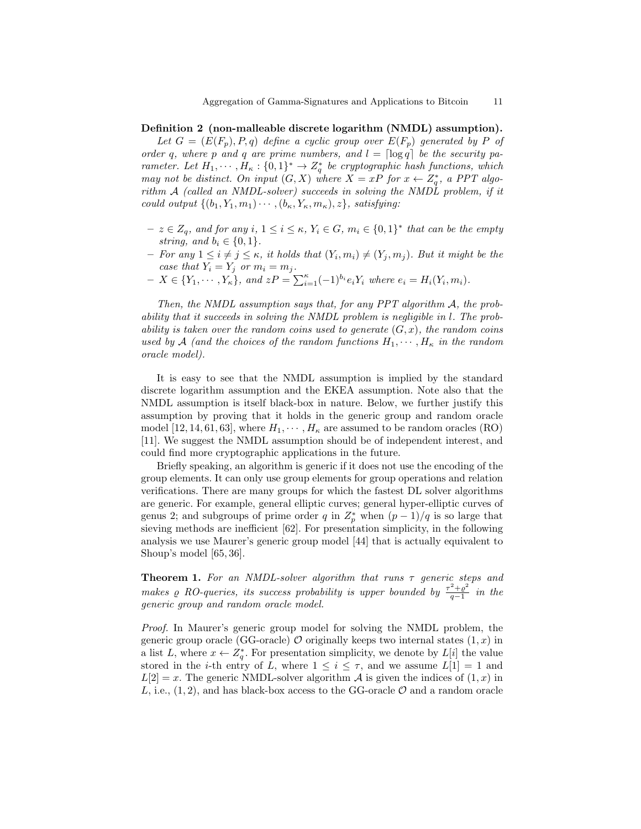#### Definition 2 (non-malleable discrete logarithm (NMDL) assumption).

Let  $G = (E(F_p), P, q)$  define a cyclic group over  $E(F_p)$  generated by P of order q, where p and q are prime numbers, and  $l = \lceil \log q \rceil$  be the security parameter. Let  $H_1, \dots, H_\kappa : \{0,1\}^* \to Z_q^*$  be cryptographic hash functions, which may not be distinct. On input  $(G, X)$  where  $X = xP$  for  $x \leftarrow Z_q^*$ , a PPT algorithm A (called an NMDL-solver) succeeds in solving the NMDL problem, if it could output  $\{(b_1, Y_1, m_1) \cdots, (b_\kappa, Y_\kappa, m_\kappa), z\}$ , satisfying:

- $z \in Z_q$ , and for any  $i, 1 \leq i \leq \kappa$ ,  $Y_i \in G$ ,  $m_i \in \{0,1\}^*$  that can be the empty string, and  $b_i \in \{0, 1\}.$
- $-$  For any  $1 \leq i \neq j \leq \kappa$ , it holds that  $(Y_i, m_i) \neq (Y_j, m_j)$ . But it might be the case that  $Y_i = Y_j$  or  $m_i = m_j$ .
- $X \in \{Y_1, \cdots, Y_{\kappa}\}, \text{ and } zP = \sum_{i=1}^{\kappa} (-1)^{b_i} e_i Y_i \text{ where } e_i = H_i(Y_i, m_i).$

Then, the NMDL assumption says that, for any PPT algorithm A, the probability that it succeeds in solving the NMDL problem is negligible in l. The probability is taken over the random coins used to generate  $(G, x)$ , the random coins used by A (and the choices of the random functions  $H_1, \cdots, H_k$  in the random oracle model).

It is easy to see that the NMDL assumption is implied by the standard discrete logarithm assumption and the EKEA assumption. Note also that the NMDL assumption is itself black-box in nature. Below, we further justify this assumption by proving that it holds in the generic group and random oracle model [12, 14, 61, 63], where  $H_1, \dots, H_\kappa$  are assumed to be random oracles (RO) [11]. We suggest the NMDL assumption should be of independent interest, and could find more cryptographic applications in the future.

Briefly speaking, an algorithm is generic if it does not use the encoding of the group elements. It can only use group elements for group operations and relation verifications. There are many groups for which the fastest DL solver algorithms are generic. For example, general elliptic curves; general hyper-elliptic curves of genus 2; and subgroups of prime order q in  $Z_p^*$  when  $(p-1)/q$  is so large that sieving methods are inefficient [62]. For presentation simplicity, in the following analysis we use Maurer's generic group model [44] that is actually equivalent to Shoup's model [65, 36].

**Theorem 1.** For an NMDL-solver algorithm that runs  $\tau$  generic steps and makes  $\varrho$  RO-queries, its success probability is upper bounded by  $\frac{\tau^2 + \varrho^2}{\sigma - 1}$  $\frac{a^2+e^2}{q-1}$  in the generic group and random oracle model.

Proof. In Maurer's generic group model for solving the NMDL problem, the generic group oracle (GG-oracle)  $\mathcal O$  originally keeps two internal states  $(1, x)$  in a list L, where  $x \leftarrow Z_q^*$ . For presentation simplicity, we denote by  $L[i]$  the value stored in the *i*-th entry of L, where  $1 \leq i \leq \tau$ , and we assume  $L[1] = 1$  and  $L[2] = x$ . The generic NMDL-solver algorithm A is given the indices of  $(1, x)$  in L, i.e.,  $(1, 2)$ , and has black-box access to the GG-oracle  $\mathcal O$  and a random oracle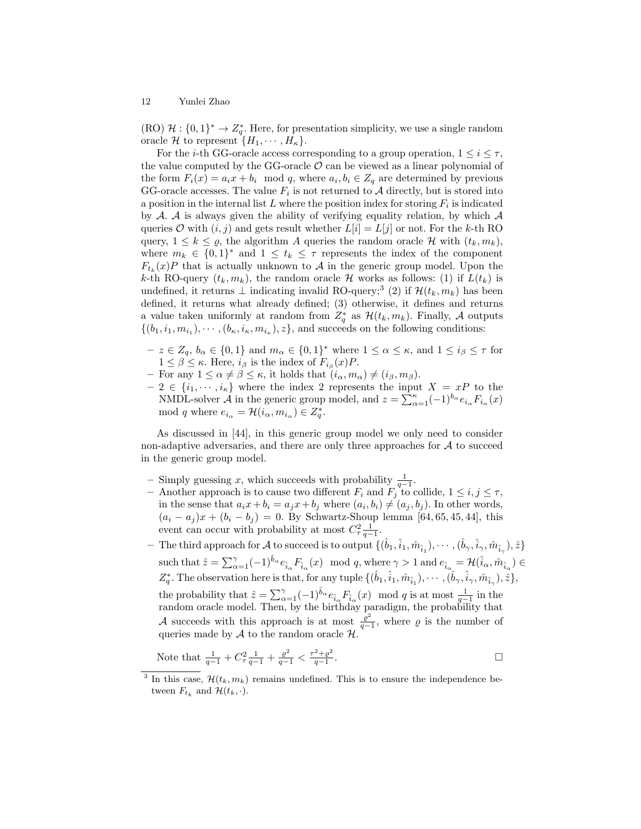(RO)  $\mathcal{H}: \{0,1\}^* \to Z_q^*$ . Here, for presentation simplicity, we use a single random oracle H to represent  $\{H_1, \cdots, H_\kappa\}.$ 

For the *i*-th GG-oracle access corresponding to a group operation,  $1 \leq i \leq \tau$ , the value computed by the GG-oracle  $\mathcal O$  can be viewed as a linear polynomial of the form  $F_i(x) = a_i x + b_i \mod q$ , where  $a_i, b_i \in Z_q$  are determined by previous GG-oracle accesses. The value  $F_i$  is not returned to  $A$  directly, but is stored into a position in the internal list L where the position index for storing  $F_i$  is indicated by  $A$ .  $A$  is always given the ability of verifying equality relation, by which  $A$ queries O with  $(i, j)$  and gets result whether  $L[i] = L[j]$  or not. For the k-th RO query,  $1 \leq k \leq \varrho$ , the algorithm A queries the random oracle H with  $(t_k, m_k)$ , where  $m_k \in \{0,1\}^*$  and  $1 \le t_k \le \tau$  represents the index of the component  $F_{t_k}(x)P$  that is actually unknown to A in the generic group model. Upon the k-th RO-query  $(t_k, m_k)$ , the random oracle H works as follows: (1) if  $L(t_k)$  is undefined, it returns ⊥ indicating invalid RO-query;<sup>3</sup> (2) if  $\mathcal{H}(t_k, m_k)$  has been defined, it returns what already defined; (3) otherwise, it defines and returns a value taken uniformly at random from  $Z_q^*$  as  $\mathcal{H}(t_k, m_k)$ . Finally, A outputs  $\{(b_1, i_1, m_{i_1}), \cdots, (b_{\kappa}, i_{\kappa}, m_{i_{\kappa}}), z\}$ , and succeeds on the following conditions:

- $-z \in Z_q$ ,  $b_\alpha \in \{0,1\}$  and  $m_\alpha \in \{0,1\}^*$  where  $1 \leq \alpha \leq \kappa$ , and  $1 \leq i_\beta \leq \tau$  for  $1 \leq \beta \leq \kappa$ . Here,  $i_{\beta}$  is the index of  $F_{i_{\beta}}(x)P$ .
- For any  $1 \leq \alpha \neq \beta \leq \kappa$ , it holds that  $(i_{\alpha}, m_{\alpha}) \neq (i_{\beta}, m_{\beta})$ .
- $-2 \in \{i_1, \dots, i_\kappa\}$  where the index 2 represents the input  $X = xP$  to the NMDL-solver  $\mathcal A$  in the generic group model, and  $z = \sum_{\alpha=1}^{\kappa} (-1)^{b_{\alpha}} e_{i_{\alpha}} F_{i_{\alpha}}(x)$ mod q where  $e_{i_{\alpha}} = \mathcal{H}(i_{\alpha}, m_{i_{\alpha}}) \in Z_q^*$ .

As discussed in [44], in this generic group model we only need to consider non-adaptive adversaries, and there are only three approaches for  $A$  to succeed in the generic group model.

- − Simply guessing x, which succeeds with probability  $\frac{1}{q-1}$ .
- Another approach is to cause two different  $F_i$  and  $F_j$  to collide,  $1 \le i, j \le \tau$ , in the sense that  $a_i x + b_i = a_j x + b_j$  where  $(a_i, b_i) \neq (a_j, b_j)$ . In other words,  $(a_i - a_j)x + (b_i - b_j) = 0$ . By Schwartz-Shoup lemma [64, 65, 45, 44], this event can occur with probability at most  $C^2 \frac{1}{q-1}$ .
- $\text{ The third approach for }\mathcal{A} \text{ to succeed is to output } \{(\hat{b}_1, \hat{i}_1, \hat{m}_{\hat{i}_1}), \cdots, (\hat{b}_\gamma, \hat{i}_\gamma, \hat{m}_{\hat{i}_\gamma}), \hat{z}\}$ such that  $\hat{z} = \sum_{\alpha=1}^{\gamma} (-1)^{\hat{b}_{\alpha}} e_{\hat{i}_{\alpha}} F_{\hat{i}_{\alpha}}(x) \mod q$ , where  $\gamma > 1$  and  $e_{\hat{i}_{\alpha}} = \mathcal{H}(\hat{i}_{\alpha}, \hat{m}_{\hat{i}_{\alpha}}) \in$  $Z_q^*$ . The observation here is that, for any tuple  $\{(\hat{b}_1, \hat{i}_1, \hat{m}_{\hat{i}_1}), \cdots, (\hat{b}_\gamma, \hat{i}_\gamma, \hat{m}_{\hat{i}_\gamma}), \hat{z}\},$ the probability that  $\hat{z} = \sum_{\alpha=1}^{\gamma} (-1)^{\hat{b}_{\alpha}} e_{\hat{i}_{\alpha}} F_{\hat{i}_{\alpha}}(x) \mod q$  is at most  $\frac{1}{q-1}$  in the random oracle model. Then, by the birthday paradigm, the probability that A succeeds with this approach is at most  $\frac{e^2}{4}$  $\frac{\varrho}{q-1}$ , where  $\varrho$  is the number of queries made by  $A$  to the random oracle  $H$ .

Note that 
$$
\frac{1}{q-1} + C_{\tau}^2 \frac{1}{q-1} + \frac{\varrho^2}{q-1} < \frac{\tau^2 + \varrho^2}{q-1}
$$
.

<sup>&</sup>lt;sup>3</sup> In this case,  $\mathcal{H}(t_k, m_k)$  remains undefined. This is to ensure the independence between  $F_{t_k}$  and  $\mathcal{H}(t_k, \cdot)$ .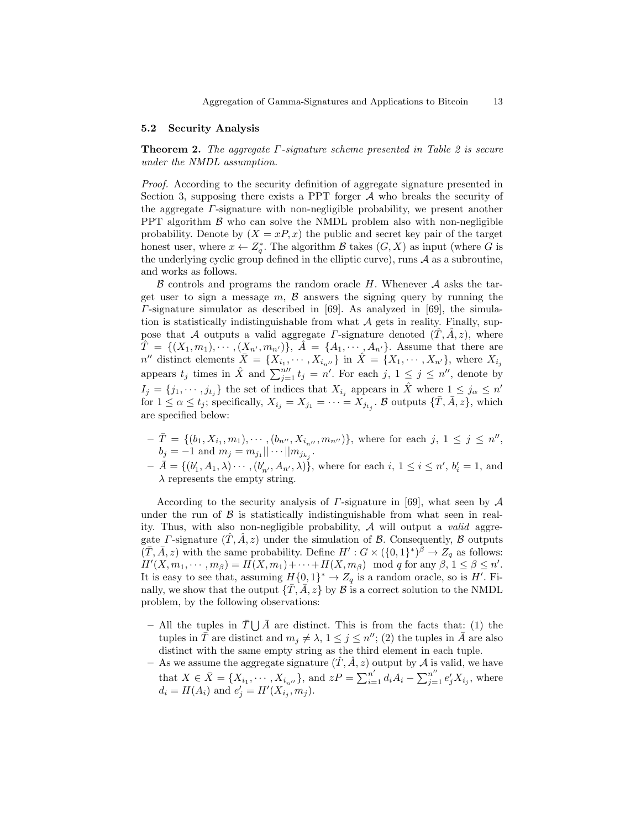#### 5.2 Security Analysis

Theorem 2. The aggregate Γ-signature scheme presented in Table 2 is secure under the NMDL assumption.

Proof. According to the security definition of aggregate signature presented in Section 3, supposing there exists a PPT forger  $A$  who breaks the security of the aggregate Γ-signature with non-negligible probability, we present another PPT algorithm  $\beta$  who can solve the NMDL problem also with non-negligible probability. Denote by  $(X = xP, x)$  the public and secret key pair of the target honest user, where  $x \leftarrow Z_q^*$ . The algorithm B takes  $(G, X)$  as input (where G is the underlying cyclic group defined in the elliptic curve), runs  $A$  as a subroutine, and works as follows.

 $\beta$  controls and programs the random oracle H. Whenever  $\mathcal A$  asks the target user to sign a message  $m, \beta$  answers the signing query by running the  $\Gamma$ -signature simulator as described in [69]. As analyzed in [69], the simulation is statistically indistinguishable from what  $A$  gets in reality. Finally, suppose that A outputs a valid aggregate  $\Gamma$ -signature denoted  $(\hat{T}, \hat{A}, z)$ , where  $\hat{T} = \{(X_1, m_1), \cdots, (X_{n'}, m_{n'})\}, \hat{A} = \{A_1, \cdots, A_{n'}\}.$  Assume that there are  $n''$  distinct elements  $\bar{X} = \{X_{i_1}, \cdots, X_{i_{n''}}\}$  in  $\hat{X} = \{X_1, \cdots, X_{n'}\}$ , where  $X_{i_j}$ appears  $t_j$  times in  $\hat{X}$  and  $\sum_{j=1}^{n} t_j = n'$ . For each  $j, 1 \le j \le n''$ , denote by  $I_j = \{j_1, \dots, j_{t_j}\}\$ the set of indices that  $X_{i_j}$  appears in  $\hat{X}$  where  $1 \leq j_{\alpha} \leq n'$ for  $1 \leq \alpha \leq t_j$ ; specifically,  $X_{i_j} = X_{j_1} = \cdots = X_{j_{t_j}}$ .  $\beta$  outputs  $\{\bar{T}, \bar{A}, z\}$ , which are specified below:

- $-\bar{T} = \{(b_1, X_{i_1}, m_1), \cdots, (b_{n''}, X_{i_{n''}}, m_{n''})\},\$  where for each  $j, 1 \leq j \leq n''$ ,  $b_j = -1$  and  $m_j = m_{j_1} || \cdots || m_{j_{k_j}}$ .
- $-\bar{A} = \{(b'_1, A_1, \lambda) \cdots, (b'_{n'}, A_{n'}, \lambda)\},\$  where for each  $i, 1 \le i \le n', b'_i = 1, \text{ and }$  $\lambda$  represents the empty string.

According to the security analysis of  $\Gamma$ -signature in [69], what seen by  $\mathcal A$ under the run of  $\beta$  is statistically indistinguishable from what seen in reality. Thus, with also non-negligible probability,  $\mathcal A$  will output a valid aggregate *Γ*-signature  $(T, A, z)$  under the simulation of *B*. Consequently, *B* outputs  $(\overline{T}, \overline{A}, z)$  with the same probability. Define  $H': G \times (\{0, 1\}^*)^{\overline{\beta}} \to Z_q$  as follows:  $H'(X, m_1, \dots, m_\beta) = H(X, m_1) + \dots + H(X, m_\beta) \mod q$  for any  $\beta, 1 \leq \beta \leq n'$ . It is easy to see that, assuming  $H\{0,1\}^* \to Z_q$  is a random oracle, so is H'. Finally, we show that the output  $\{\bar{T}, \bar{A}, z\}$  by  $\beta$  is a correct solution to the NMDL problem, by the following observations:

- All the tuples in  $\bar{T} \bigcup \bar{A}$  are distinct. This is from the facts that: (1) the tuples in  $\bar{T}$  are distinct and  $m_j \neq \lambda$ ,  $1 \leq j \leq n''$ ; (2) the tuples in  $\bar{A}$  are also distinct with the same empty string as the third element in each tuple.
- As we assume the aggregate signature  $(\hat{T}, \hat{A}, z)$  output by A is valid, we have that  $X \in \bar{X} = \{X_{i_1}, \cdots, X_{i_{n'}}\}$ , and  $zP = \sum_{i=1}^{n'} d_i A_i - \sum_{j=1}^{n''} e'_j X_{i_j}$ , where  $d_i = H(A_i)$  and  $e'_j = H'(X_{i_j}, m_j)$ .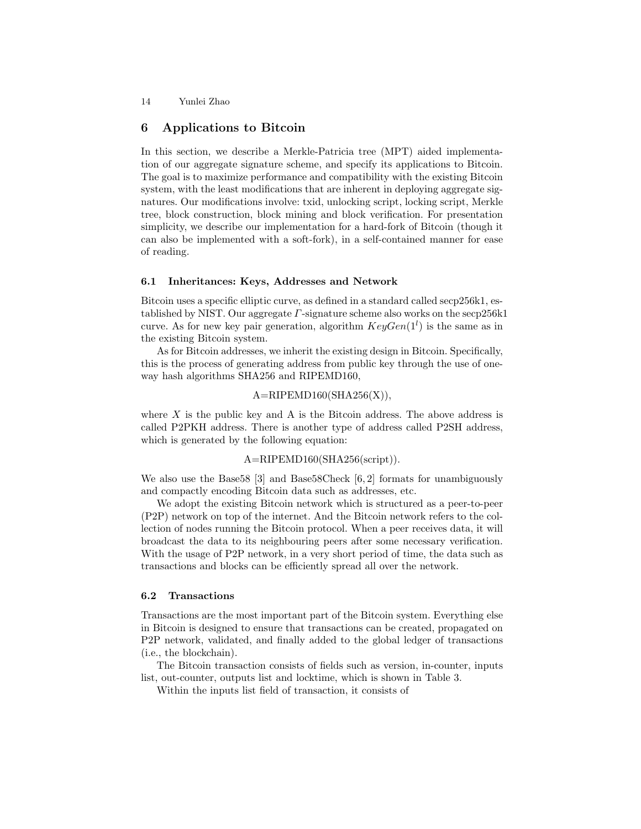## 6 Applications to Bitcoin

In this section, we describe a Merkle-Patricia tree (MPT) aided implementation of our aggregate signature scheme, and specify its applications to Bitcoin. The goal is to maximize performance and compatibility with the existing Bitcoin system, with the least modifications that are inherent in deploying aggregate signatures. Our modifications involve: txid, unlocking script, locking script, Merkle tree, block construction, block mining and block verification. For presentation simplicity, we describe our implementation for a hard-fork of Bitcoin (though it can also be implemented with a soft-fork), in a self-contained manner for ease of reading.

#### 6.1 Inheritances: Keys, Addresses and Network

Bitcoin uses a specific elliptic curve, as defined in a standard called secp256k1, established by NIST. Our aggregate  $\Gamma$ -signature scheme also works on the secp 256k1 curve. As for new key pair generation, algorithm  $KeyGen(1^l)$  is the same as in the existing Bitcoin system.

As for Bitcoin addresses, we inherit the existing design in Bitcoin. Specifically, this is the process of generating address from public key through the use of oneway hash algorithms SHA256 and RIPEMD160,

#### $A=RIPEMD160(SHA256(X)),$

where  $X$  is the public key and A is the Bitcoin address. The above address is called P2PKH address. There is another type of address called P2SH address, which is generated by the following equation:

#### A=RIPEMD160(SHA256(script)).

We also use the Base58 [3] and Base58Check [6, 2] formats for unambiguously and compactly encoding Bitcoin data such as addresses, etc.

We adopt the existing Bitcoin network which is structured as a peer-to-peer (P2P) network on top of the internet. And the Bitcoin network refers to the collection of nodes running the Bitcoin protocol. When a peer receives data, it will broadcast the data to its neighbouring peers after some necessary verification. With the usage of P2P network, in a very short period of time, the data such as transactions and blocks can be efficiently spread all over the network.

#### 6.2 Transactions

Transactions are the most important part of the Bitcoin system. Everything else in Bitcoin is designed to ensure that transactions can be created, propagated on P2P network, validated, and finally added to the global ledger of transactions (i.e., the blockchain).

The Bitcoin transaction consists of fields such as version, in-counter, inputs list, out-counter, outputs list and locktime, which is shown in Table 3.

Within the inputs list field of transaction, it consists of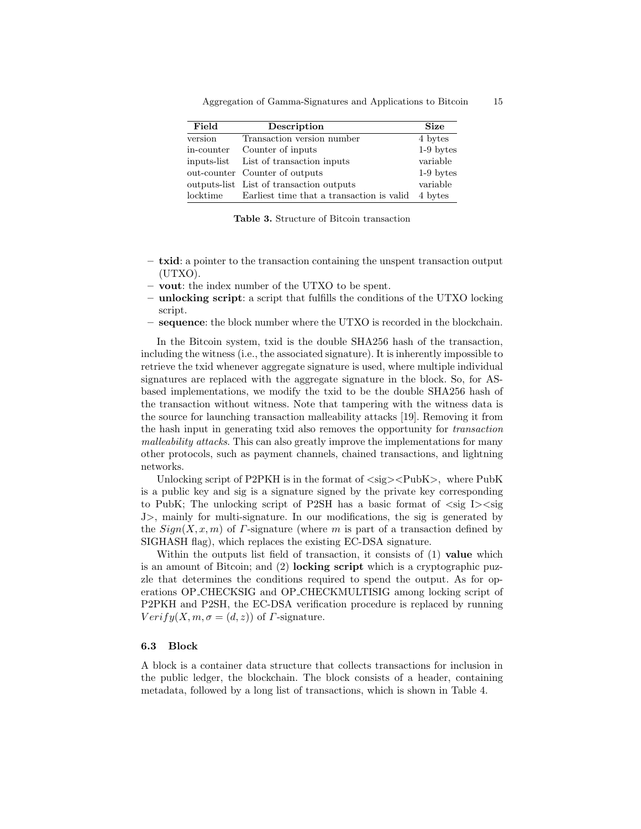| Field      | Description                                       | <b>Size</b> |
|------------|---------------------------------------------------|-------------|
| version    | Transaction version number                        | 4 bytes     |
| in-counter | Counter of inputs                                 | $1-9$ bytes |
|            | inputs-list List of transaction inputs            | variable    |
|            | out-counter Counter of outputs                    | $1-9$ bytes |
|            | outputs-list List of transaction outputs          | variable    |
| locktime   | Earliest time that a transaction is valid 4 bytes |             |

Aggregation of Gamma-Signatures and Applications to Bitcoin 15

Table 3. Structure of Bitcoin transaction

- txid: a pointer to the transaction containing the unspent transaction output (UTXO).
- vout: the index number of the UTXO to be spent.
- unlocking script: a script that fulfills the conditions of the UTXO locking script.
- sequence: the block number where the UTXO is recorded in the blockchain.

In the Bitcoin system, txid is the double SHA256 hash of the transaction, including the witness (i.e., the associated signature). It is inherently impossible to retrieve the txid whenever aggregate signature is used, where multiple individual signatures are replaced with the aggregate signature in the block. So, for ASbased implementations, we modify the txid to be the double SHA256 hash of the transaction without witness. Note that tampering with the witness data is the source for launching transaction malleability attacks [19]. Removing it from the hash input in generating txid also removes the opportunity for transaction malleability attacks. This can also greatly improve the implementations for many other protocols, such as payment channels, chained transactions, and lightning networks.

Unlocking script of P2PKH is in the format of  $\langle sig \rangle \langle \langle PhbK \rangle$ , where PubK is a public key and sig is a signature signed by the private key corresponding to PubK; The unlocking script of P2SH has a basic format of  $\langle \text{sig } I \rangle \langle \text{sig } I \rangle$ J>, mainly for multi-signature. In our modifications, the sig is generated by the  $Sign(X, x, m)$  of *Γ*-signature (where m is part of a transaction defined by SIGHASH flag), which replaces the existing EC-DSA signature.

Within the outputs list field of transaction, it consists of (1) value which is an amount of Bitcoin; and (2) locking script which is a cryptographic puzzle that determines the conditions required to spend the output. As for operations OP CHECKSIG and OP CHECKMULTISIG among locking script of P2PKH and P2SH, the EC-DSA verification procedure is replaced by running  $Verify(X, m, \sigma = (d, z))$  of *Γ*-signature.

#### 6.3 Block

A block is a container data structure that collects transactions for inclusion in the public ledger, the blockchain. The block consists of a header, containing metadata, followed by a long list of transactions, which is shown in Table 4.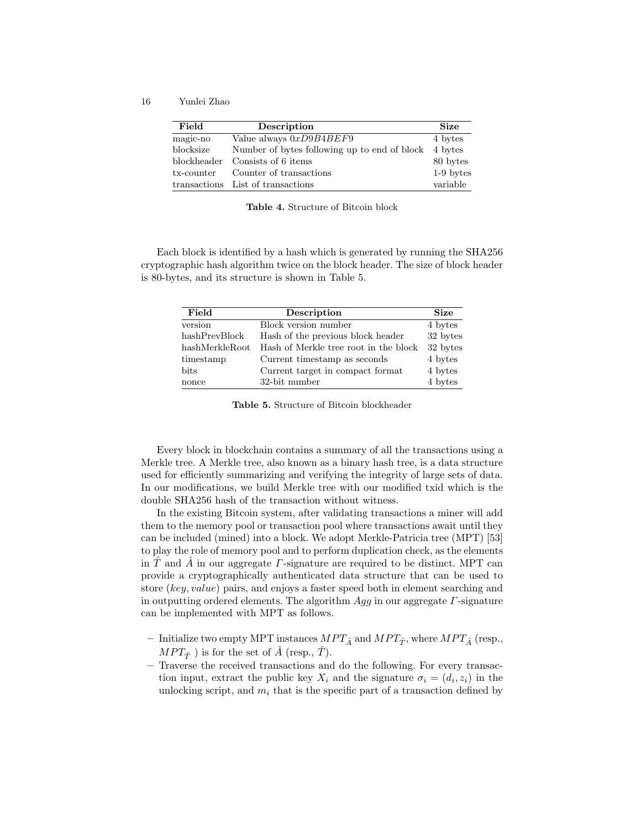16 Yunlei Zhao

| Field       | Description                                          | <b>Size</b> |
|-------------|------------------------------------------------------|-------------|
| magic-no    | Value always $0xD9B4BEF9$                            | 4 bytes     |
| blocksize   | Number of bytes following up to end of block 4 bytes |             |
| blockheader | Consists of 6 items                                  | 80 bytes    |
| tx-counter  | Counter of transactions                              | 1-9 bytes   |
|             | transactions List of transactions                    | variable    |

Table 4. Structure of Bitcoin block

Each block is identified by a hash which is generated by running the SHA256 cryptographic hash algorithm twice on the block header. The size of block header is 80-bytes, and its structure is shown in Table 5.

| Field          | Description                           | <b>Size</b> |
|----------------|---------------------------------------|-------------|
| version        | Block version number                  | 4 bytes     |
| hashPrevBlock  | Hash of the previous block header     | 32 bytes    |
| hashMerkleRoot | Hash of Merkle tree root in the block | 32 bytes    |
| timestamp      | Current timestamp as seconds          | 4 bytes     |
| bits           | Current target in compact format      | 4 bytes     |
| nonce          | 32-bit number                         | 4 bytes     |

Table 5. Structure of Bitcoin blockheader

Every block in blockchain contains a summary of all the transactions using a Merkle tree. A Merkle tree, also known as a binary hash tree, is a data structure used for efficiently summarizing and verifying the integrity of large sets of data. In our modifications, we build Merkle tree with our modified txid which is the double SHA256 hash of the transaction without witness.

In the existing Bitcoin system, after validating transactions a miner will add them to the memory pool or transaction pool where transactions await until they can be included (mined) into a block. We adopt Merkle-Patricia tree (MPT) [53] to play the role of memory pool and to perform duplication check, as the elements in T and A in our aggregate  $\Gamma$ -signature are required to be distinct. MPT can provide a cryptographically authenticated data structure that can be used to store (key, value) pairs, and enjoys a faster speed both in element searching and in outputting ordered elements. The algorithm  $Agg$  in our aggregate  $\Gamma$ -signature can be implemented with MPT as follows.

- Initialize two empty MPT instances  $MPT_{\hat{A}}$  and  $MPT_{\hat{T}}$ , where  $MPT_{\hat{A}}$  (resp.,  $MPT_{\hat{T}}$  ) is for the set of  $\hat{A}$  (resp.,  $\hat{T}$ ).
- Traverse the received transactions and do the following. For every transaction input, extract the public key  $X_i$  and the signature  $\sigma_i = (d_i, z_i)$  in the unlocking script, and  $m_i$  that is the specific part of a transaction defined by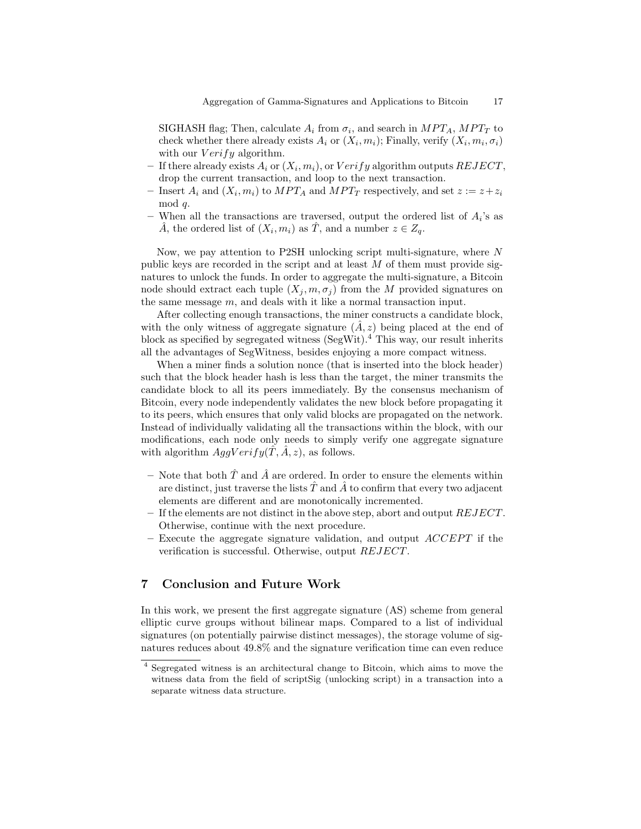SIGHASH flag; Then, calculate  $A_i$  from  $\sigma_i$ , and search in  $MPT_A$ ,  $MPT_T$  to check whether there already exists  $A_i$  or  $(X_i, m_i)$ ; Finally, verify  $(X_i, m_i, \sigma_i)$ with our  $Verify$  algorithm.

- If there already exists  $A_i$  or  $(X_i, m_i)$ , or  $Verify$  algorithm outputs  $REJECT$ , drop the current transaction, and loop to the next transaction.
- Insert  $A_i$  and  $(X_i, m_i)$  to  $MPT_A$  and  $MPT_T$  respectively, and set  $z := z + z_i$ mod q.
- When all the transactions are traversed, output the ordered list of  $A_i$ 's as  $\hat{A}$ , the ordered list of  $(X_i, m_i)$  as  $\hat{T}$ , and a number  $z \in Z_q$ .

Now, we pay attention to P2SH unlocking script multi-signature, where N public keys are recorded in the script and at least M of them must provide signatures to unlock the funds. In order to aggregate the multi-signature, a Bitcoin node should extract each tuple  $(X_j, m, \sigma_j)$  from the M provided signatures on the same message m, and deals with it like a normal transaction input.

After collecting enough transactions, the miner constructs a candidate block, with the only witness of aggregate signature  $(\hat{A}, z)$  being placed at the end of block as specified by segregated witness  $(SegWit).<sup>4</sup>$  This way, our result inherits all the advantages of SegWitness, besides enjoying a more compact witness.

When a miner finds a solution nonce (that is inserted into the block header) such that the block header hash is less than the target, the miner transmits the candidate block to all its peers immediately. By the consensus mechanism of Bitcoin, every node independently validates the new block before propagating it to its peers, which ensures that only valid blocks are propagated on the network. Instead of individually validating all the transactions within the block, with our modifications, each node only needs to simply verify one aggregate signature with algorithm  $AggVerify(T, A, z)$ , as follows.

- Note that both  $\hat{T}$  and  $\hat{A}$  are ordered. In order to ensure the elements within are distinct, just traverse the lists  $\ddot{T}$  and  $\ddot{A}$  to confirm that every two adjacent elements are different and are monotonically incremented.
- $-$  If the elements are not distinct in the above step, abort and output  $REJECT.$ Otherwise, continue with the next procedure.
- Execute the aggregate signature validation, and output  $ACCEPT$  if the verification is successful. Otherwise, output REJECT.

# 7 Conclusion and Future Work

In this work, we present the first aggregate signature (AS) scheme from general elliptic curve groups without bilinear maps. Compared to a list of individual signatures (on potentially pairwise distinct messages), the storage volume of signatures reduces about 49.8% and the signature verification time can even reduce

<sup>4</sup> Segregated witness is an architectural change to Bitcoin, which aims to move the witness data from the field of scriptSig (unlocking script) in a transaction into a separate witness data structure.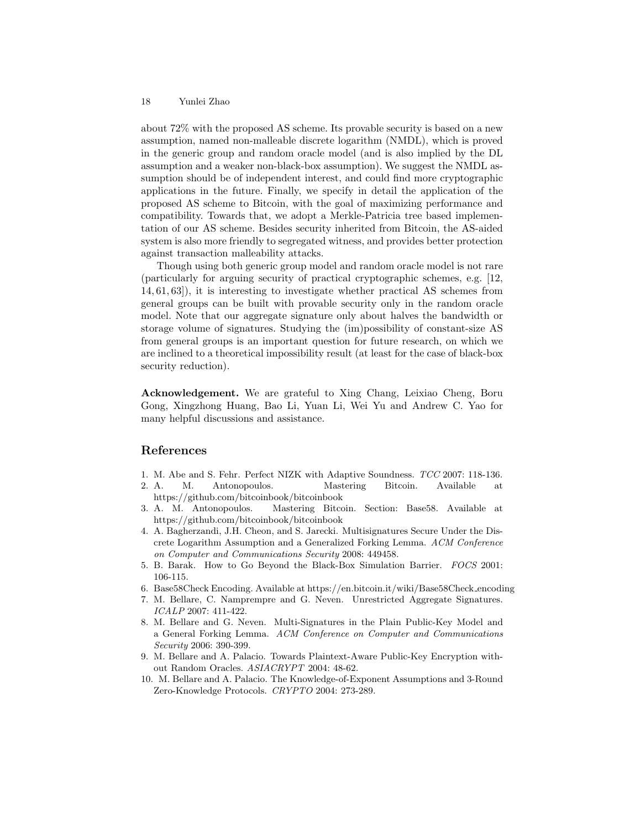about 72% with the proposed AS scheme. Its provable security is based on a new assumption, named non-malleable discrete logarithm (NMDL), which is proved in the generic group and random oracle model (and is also implied by the DL assumption and a weaker non-black-box assumption). We suggest the NMDL assumption should be of independent interest, and could find more cryptographic applications in the future. Finally, we specify in detail the application of the proposed AS scheme to Bitcoin, with the goal of maximizing performance and compatibility. Towards that, we adopt a Merkle-Patricia tree based implementation of our AS scheme. Besides security inherited from Bitcoin, the AS-aided system is also more friendly to segregated witness, and provides better protection against transaction malleability attacks.

Though using both generic group model and random oracle model is not rare (particularly for arguing security of practical cryptographic schemes, e.g. [12, 14, 61, 63]), it is interesting to investigate whether practical AS schemes from general groups can be built with provable security only in the random oracle model. Note that our aggregate signature only about halves the bandwidth or storage volume of signatures. Studying the (im)possibility of constant-size AS from general groups is an important question for future research, on which we are inclined to a theoretical impossibility result (at least for the case of black-box security reduction).

Acknowledgement. We are grateful to Xing Chang, Leixiao Cheng, Boru Gong, Xingzhong Huang, Bao Li, Yuan Li, Wei Yu and Andrew C. Yao for many helpful discussions and assistance.

# References

- 1. M. Abe and S. Fehr. Perfect NIZK with Adaptive Soundness. TCC 2007: 118-136.
- 2. A. M. Antonopoulos. Mastering Bitcoin. Available at https://github.com/bitcoinbook/bitcoinbook
- 3. A. M. Antonopoulos. Mastering Bitcoin. Section: Base58. Available at https://github.com/bitcoinbook/bitcoinbook
- 4. A. Bagherzandi, J.H. Cheon, and S. Jarecki. Multisignatures Secure Under the Discrete Logarithm Assumption and a Generalized Forking Lemma. ACM Conference on Computer and Communications Security 2008: 449458.
- 5. B. Barak. How to Go Beyond the Black-Box Simulation Barrier. FOCS 2001: 106-115.
- 6. Base58Check Encoding. Available at https://en.bitcoin.it/wiki/Base58Check encoding
- 7. M. Bellare, C. Namprempre and G. Neven. Unrestricted Aggregate Signatures. ICALP 2007: 411-422.
- 8. M. Bellare and G. Neven. Multi-Signatures in the Plain Public-Key Model and a General Forking Lemma. ACM Conference on Computer and Communications Security 2006: 390-399.
- 9. M. Bellare and A. Palacio. Towards Plaintext-Aware Public-Key Encryption without Random Oracles. ASIACRYPT 2004: 48-62.
- 10. M. Bellare and A. Palacio. The Knowledge-of-Exponent Assumptions and 3-Round Zero-Knowledge Protocols. CRYPTO 2004: 273-289.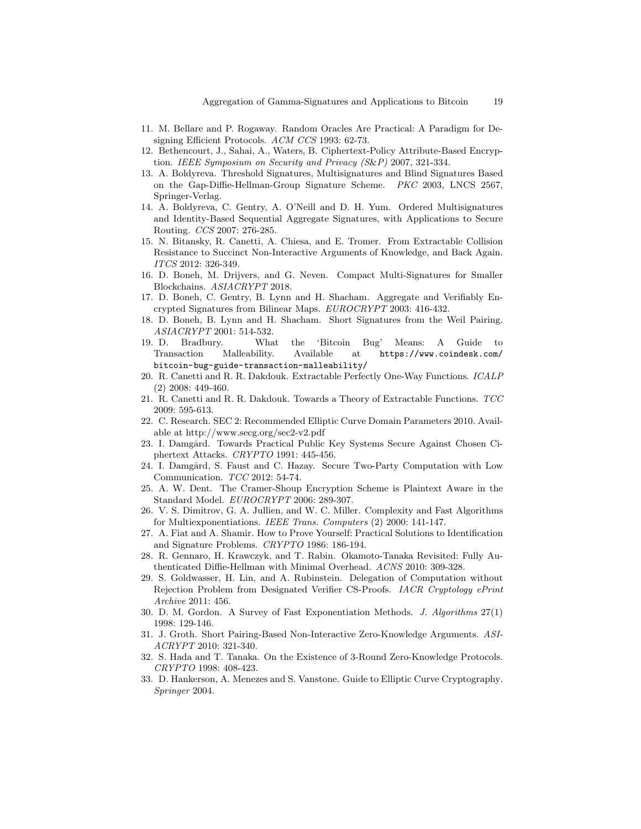- 11. M. Bellare and P. Rogaway. Random Oracles Are Practical: A Paradigm for Designing Efficient Protocols. ACM CCS 1993: 62-73.
- 12. Bethencourt, J., Sahai, A., Waters, B. Ciphertext-Policy Attribute-Based Encryption. IEEE Symposium on Security and Privacy (S&P) 2007, 321-334.
- 13. A. Boldyreva. Threshold Signatures, Multisignatures and Blind Signatures Based on the Gap-Diffie-Hellman-Group Signature Scheme. PKC 2003, LNCS 2567, Springer-Verlag.
- 14. A. Boldyreva, C. Gentry, A. O'Neill and D. H. Yum. Ordered Multisignatures and Identity-Based Sequential Aggregate Signatures, with Applications to Secure Routing. CCS 2007: 276-285.
- 15. N. Bitansky, R. Canetti, A. Chiesa, and E. Tromer. From Extractable Collision Resistance to Succinct Non-Interactive Arguments of Knowledge, and Back Again. ITCS 2012: 326-349.
- 16. D. Boneh, M. Drijvers, and G. Neven. Compact Multi-Signatures for Smaller Blockchains. ASIACRYPT 2018.
- 17. D. Boneh, C. Gentry, B. Lynn and H. Shacham. Aggregate and Verifiably Encrypted Signatures from Bilinear Maps. EUROCRYPT 2003: 416-432.
- 18. D. Boneh, B. Lynn and H. Shacham. Short Signatures from the Weil Pairing. ASIACRYPT 2001: 514-532.
- 19. D. Bradbury. What the 'Bitcoin Bug' Means: A Guide to Transaction Malleability. Available at https://www.coindesk.com/ bitcoin-bug-guide-transaction-malleability/
- 20. R. Canetti and R. R. Dakdouk. Extractable Perfectly One-Way Functions. ICALP (2) 2008: 449-460.
- 21. R. Canetti and R. R. Dakdouk. Towards a Theory of Extractable Functions. TCC 2009: 595-613.
- 22. C. Research. SEC 2: Recommended Elliptic Curve Domain Parameters 2010. Available at http://www.secg.org/sec2-v2.pdf
- 23. I. Damgård. Towards Practical Public Key Systems Secure Against Chosen Ciphertext Attacks. CRYPTO 1991: 445-456.
- 24. I. Damgård, S. Faust and C. Hazay. Secure Two-Party Computation with Low Communication. TCC 2012: 54-74.
- 25. A. W. Dent. The Cramer-Shoup Encryption Scheme is Plaintext Aware in the Standard Model. EUROCRYPT 2006: 289-307.
- 26. V. S. Dimitrov, G. A. Jullien, and W. C. Miller. Complexity and Fast Algorithms for Multiexponentiations. IEEE Trans. Computers (2) 2000: 141-147.
- 27. A. Fiat and A. Shamir. How to Prove Yourself: Practical Solutions to Identification and Signature Problems. CRYPTO 1986: 186-194.
- 28. R. Gennaro, H. Krawczyk, and T. Rabin. Okamoto-Tanaka Revisited: Fully Authenticated Diffie-Hellman with Minimal Overhead. ACNS 2010: 309-328.
- 29. S. Goldwasser, H. Lin, and A. Rubinstein. Delegation of Computation without Rejection Problem from Designated Verifier CS-Proofs. IACR Cryptology ePrint Archive 2011: 456.
- 30. D. M. Gordon. A Survey of Fast Exponentiation Methods. J. Algorithms 27(1) 1998: 129-146.
- 31. J. Groth. Short Pairing-Based Non-Interactive Zero-Knowledge Arguments. ASI-ACRYPT 2010: 321-340.
- 32. S. Hada and T. Tanaka. On the Existence of 3-Round Zero-Knowledge Protocols. CRYPTO 1998: 408-423.
- 33. D. Hankerson, A. Menezes and S. Vanstone. Guide to Elliptic Curve Cryptography. Springer 2004.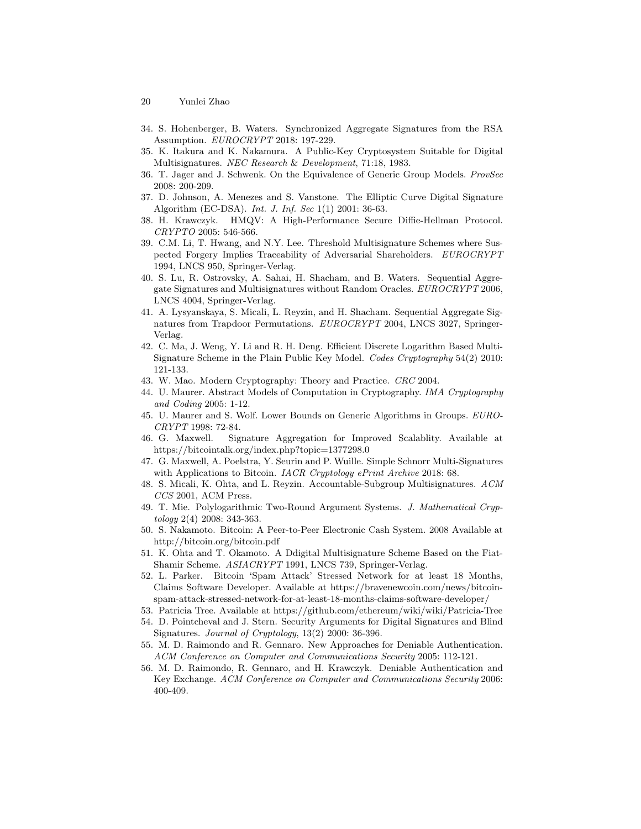- 20 Yunlei Zhao
- 34. S. Hohenberger, B. Waters. Synchronized Aggregate Signatures from the RSA Assumption. EUROCRYPT 2018: 197-229.
- 35. K. Itakura and K. Nakamura. A Public-Key Cryptosystem Suitable for Digital Multisignatures. NEC Research & Development, 71:18, 1983.
- 36. T. Jager and J. Schwenk. On the Equivalence of Generic Group Models. ProvSec 2008: 200-209.
- 37. D. Johnson, A. Menezes and S. Vanstone. The Elliptic Curve Digital Signature Algorithm (EC-DSA). Int. J. Inf. Sec 1(1) 2001: 36-63.
- 38. H. Krawczyk. HMQV: A High-Performance Secure Diffie-Hellman Protocol. CRYPTO 2005: 546-566.
- 39. C.M. Li, T. Hwang, and N.Y. Lee. Threshold Multisignature Schemes where Suspected Forgery Implies Traceability of Adversarial Shareholders. EUROCRYPT 1994, LNCS 950, Springer-Verlag.
- 40. S. Lu, R. Ostrovsky, A. Sahai, H. Shacham, and B. Waters. Sequential Aggregate Signatures and Multisignatures without Random Oracles. EUROCRYPT 2006, LNCS 4004, Springer-Verlag.
- 41. A. Lysyanskaya, S. Micali, L. Reyzin, and H. Shacham. Sequential Aggregate Signatures from Trapdoor Permutations. EUROCRYPT 2004, LNCS 3027, Springer-Verlag.
- 42. C. Ma, J. Weng, Y. Li and R. H. Deng. Efficient Discrete Logarithm Based Multi-Signature Scheme in the Plain Public Key Model. Codes Cryptography 54(2) 2010: 121-133.
- 43. W. Mao. Modern Cryptography: Theory and Practice. CRC 2004.
- 44. U. Maurer. Abstract Models of Computation in Cryptography. IMA Cryptography and Coding 2005: 1-12.
- 45. U. Maurer and S. Wolf. Lower Bounds on Generic Algorithms in Groups. EURO-CRYPT 1998: 72-84.
- 46. G. Maxwell. Signature Aggregation for Improved Scalablity. Available at https://bitcointalk.org/index.php?topic=1377298.0
- 47. G. Maxwell, A. Poelstra, Y. Seurin and P. Wuille. Simple Schnorr Multi-Signatures with Applications to Bitcoin. IACR Cryptology ePrint Archive 2018: 68.
- 48. S. Micali, K. Ohta, and L. Reyzin. Accountable-Subgroup Multisignatures. ACM CCS 2001, ACM Press.
- 49. T. Mie. Polylogarithmic Two-Round Argument Systems. J. Mathematical Cryptology 2(4) 2008: 343-363.
- 50. S. Nakamoto. Bitcoin: A Peer-to-Peer Electronic Cash System. 2008 Available at http://bitcoin.org/bitcoin.pdf
- 51. K. Ohta and T. Okamoto. A Ddigital Multisignature Scheme Based on the Fiat-Shamir Scheme. ASIACRYPT 1991, LNCS 739, Springer-Verlag.
- 52. L. Parker. Bitcoin 'Spam Attack' Stressed Network for at least 18 Months, Claims Software Developer. Available at https://bravenewcoin.com/news/bitcoinspam-attack-stressed-network-for-at-least-18-months-claims-software-developer/
- 53. Patricia Tree. Available at https://github.com/ethereum/wiki/wiki/Patricia-Tree
- 54. D. Pointcheval and J. Stern. Security Arguments for Digital Signatures and Blind Signatures. Journal of Cryptology, 13(2) 2000: 36-396.
- 55. M. D. Raimondo and R. Gennaro. New Approaches for Deniable Authentication. ACM Conference on Computer and Communications Security 2005: 112-121.
- 56. M. D. Raimondo, R. Gennaro, and H. Krawczyk. Deniable Authentication and Key Exchange. ACM Conference on Computer and Communications Security 2006: 400-409.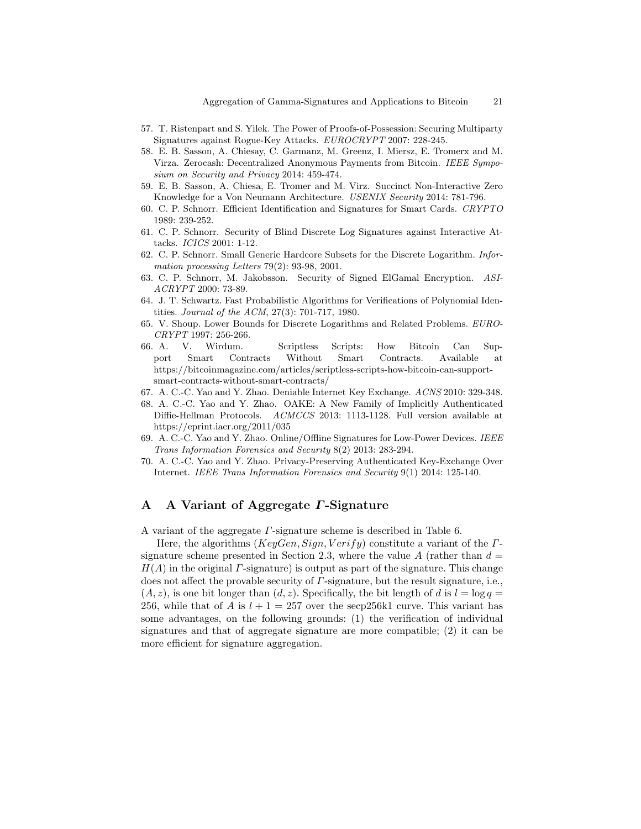- 57. T. Ristenpart and S. Yilek. The Power of Proofs-of-Possession: Securing Multiparty Signatures against Rogue-Key Attacks. EUROCRYPT 2007: 228-245.
- 58. E. B. Sasson, A. Chiesay, C. Garmanz, M. Greenz, I. Miersz, E. Tromerx and M. Virza. Zerocash: Decentralized Anonymous Payments from Bitcoin. IEEE Symposium on Security and Privacy 2014: 459-474.
- 59. E. B. Sasson, A. Chiesa, E. Tromer and M. Virz. Succinct Non-Interactive Zero Knowledge for a Von Neumann Architecture. USENIX Security 2014: 781-796.
- 60. C. P. Schnorr. Efficient Identification and Signatures for Smart Cards. CRYPTO 1989: 239-252.
- 61. C. P. Schnorr. Security of Blind Discrete Log Signatures against Interactive Attacks. ICICS 2001: 1-12.
- 62. C. P. Schnorr. Small Generic Hardcore Subsets for the Discrete Logarithm. Information processing Letters 79(2): 93-98, 2001.
- 63. C. P. Schnorr, M. Jakobsson. Security of Signed ElGamal Encryption. ASI-ACRYPT 2000: 73-89.
- 64. J. T. Schwartz. Fast Probabilistic Algorithms for Verifications of Polynomial Identities. Journal of the ACM, 27(3): 701-717, 1980.
- 65. V. Shoup. Lower Bounds for Discrete Logarithms and Related Problems. EURO-CRYPT 1997: 256-266.
- 66. A. V. Wirdum. Scriptless Scripts: How Bitcoin Can Support Smart Contracts Without Smart Contracts. Available at https://bitcoinmagazine.com/articles/scriptless-scripts-how-bitcoin-can-supportsmart-contracts-without-smart-contracts/
- 67. A. C.-C. Yao and Y. Zhao. Deniable Internet Key Exchange. ACNS 2010: 329-348.
- 68. A. C.-C. Yao and Y. Zhao. OAKE: A New Family of Implicitly Authenticated Diffie-Hellman Protocols. ACMCCS 2013: 1113-1128. Full version available at https://eprint.iacr.org/2011/035
- 69. A. C.-C. Yao and Y. Zhao. Online/Offline Signatures for Low-Power Devices. IEEE Trans Information Forensics and Security 8(2) 2013: 283-294.
- 70. A. C.-C. Yao and Y. Zhao. Privacy-Preserving Authenticated Key-Exchange Over Internet. IEEE Trans Information Forensics and Security 9(1) 2014: 125-140.

# A A Variant of Aggregate Γ-Signature

A variant of the aggregate Γ-signature scheme is described in Table 6.

Here, the algorithms ( $KeyGen, Sign, Verify$ ) constitute a variant of the  $\Gamma$ signature scheme presented in Section 2.3, where the value A (rather than  $d =$  $H(A)$  in the original *Γ*-signature) is output as part of the signature. This change does not affect the provable security of Γ-signature, but the result signature, i.e.,  $(A, z)$ , is one bit longer than  $(d, z)$ . Specifically, the bit length of d is  $l = \log q =$ 256, while that of A is  $l + 1 = 257$  over the secp 256k1 curve. This variant has some advantages, on the following grounds: (1) the verification of individual signatures and that of aggregate signature are more compatible; (2) it can be more efficient for signature aggregation.